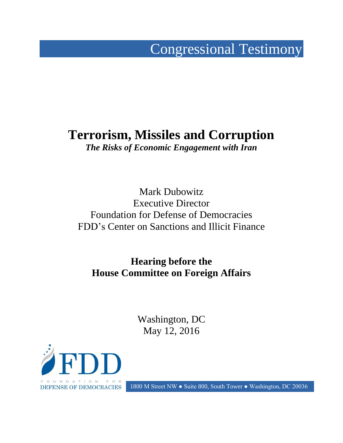# Congressional Testimony

# **Terrorism, Missiles and Corruption**

*The Risks of Economic Engagement with Iran*

Mark Dubowitz Executive Director Foundation for Defense of Democracies FDD's Center on Sanctions and Illicit Finance

**Hearing before the House Committee on Foreign Affairs**

> Washington, DC May 12, 2016



DEFENSE OF DEMOCRACIES 1800 M Street NW • Suite 800, South Tower • Washington, DC 20036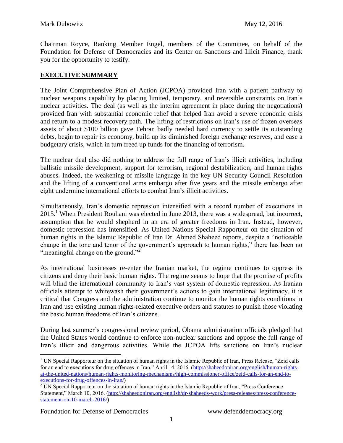Chairman Royce, Ranking Member Engel, members of the Committee, on behalf of the Foundation for Defense of Democracies and its Center on Sanctions and Illicit Finance, thank you for the opportunity to testify.

### **EXECUTIVE SUMMARY**

The Joint Comprehensive Plan of Action (JCPOA) provided Iran with a patient pathway to nuclear weapons capability by placing limited, temporary, and reversible constraints on Iran's nuclear activities. The deal (as well as the interim agreement in place during the negotiations) provided Iran with substantial economic relief that helped Iran avoid a severe economic crisis and return to a modest recovery path. The lifting of restrictions on Iran's use of frozen overseas assets of about \$100 billion gave Tehran badly needed hard currency to settle its outstanding debts, begin to repair its economy, build up its diminished foreign exchange reserves, and ease a budgetary crisis, which in turn freed up funds for the financing of terrorism.

The nuclear deal also did nothing to address the full range of Iran's illicit activities, including ballistic missile development, support for terrorism, regional destabilization, and human rights abuses. Indeed, the weakening of missile language in the key UN Security Council Resolution and the lifting of a conventional arms embargo after five years and the missile embargo after eight undermine international efforts to combat Iran's illicit activities.

Simultaneously, Iran's domestic repression intensified with a record number of executions in  $2015<sup>1</sup>$  When President Rouhani was elected in June 2013, there was a widespread, but incorrect, assumption that he would shepherd in an era of greater freedoms in Iran. Instead, however, domestic repression has intensified. As United Nations Special Rapporteur on the situation of human rights in the Islamic Republic of Iran Dr. Ahmed Shaheed reports, despite a "noticeable change in the tone and tenor of the government's approach to human rights," there has been no "meaningful change on the ground."<sup>2</sup>

As international businesses re-enter the Iranian market, the regime continues to oppress its citizens and deny their basic human rights. The regime seems to hope that the promise of profits will blind the international community to Iran's vast system of domestic repression. As Iranian officials attempt to whitewash their government's actions to gain international legitimacy, it is critical that Congress and the administration continue to monitor the human rights conditions in Iran and use existing human rights-related executive orders and statutes to punish those violating the basic human freedoms of Iran's citizens.

During last summer's congressional review period, Obama administration officials pledged that the United States would continue to enforce non-nuclear sanctions and oppose the full range of Iran's illicit and dangerous activities. While the JCPOA lifts sanctions on Iran's nuclear

<sup>&</sup>lt;sup>1</sup> UN Special Rapporteur on the situation of human rights in the Islamic Republic of Iran, Press Release, "Zeid calls" for an end to executions for drug offences in Iran," April 14, 2016. [\(http://shaheedoniran.org/english/human-rights](http://shaheedoniran.org/english/human-rights-at-the-united-nations/human-rights-monitoring-mechanisms/high-commissioner-office/zeid-calls-for-an-end-to-executions-for-drug-offences-in-iran/)[at-the-united-nations/human-rights-monitoring-mechanisms/high-commissioner-office/zeid-calls-for-an-end-to](http://shaheedoniran.org/english/human-rights-at-the-united-nations/human-rights-monitoring-mechanisms/high-commissioner-office/zeid-calls-for-an-end-to-executions-for-drug-offences-in-iran/)[executions-for-drug-offences-in-iran/\)](http://shaheedoniran.org/english/human-rights-at-the-united-nations/human-rights-monitoring-mechanisms/high-commissioner-office/zeid-calls-for-an-end-to-executions-for-drug-offences-in-iran/)

 $2$  UN Special Rapporteur on the situation of human rights in the Islamic Republic of Iran, "Press Conference" Statement," March 10, 2016. [\(http://shaheedoniran.org/english/dr-shaheeds-work/press-releases/press-conference](http://shaheedoniran.org/english/dr-shaheeds-work/press-releases/press-conference-statement-on-10-march-2016/)[statement-on-10-march-2016/\)](http://shaheedoniran.org/english/dr-shaheeds-work/press-releases/press-conference-statement-on-10-march-2016/)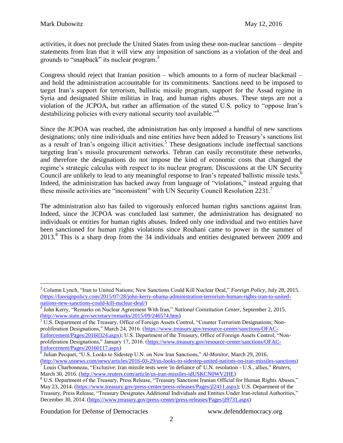activities, it does not preclude the United States from using these non-nuclear sanctions – despite statements from Iran that it will view any imposition of sanctions as a violation of the deal and grounds to "snapback" its nuclear program.<sup>3</sup>

Congress should reject that Iranian position – which amounts to a form of nuclear blackmail – and hold the administration accountable for its commitments. Sanctions need to be imposed to target Iran's support for terrorism, ballistic missile program, support for the Assad regime in Syria and designated Shiite militias in Iraq, and human rights abuses. These steps are not a violation of the JCPOA, but rather an affirmation of the stated U.S. policy to "oppose Iran's destabilizing policies with every national security tool available."<sup>4</sup>

Since the JCPOA was reached, the administration has only imposed a handful of new sanctions designations; only nine individuals and nine entities have been added to Treasury's sanctions list as a result of Iran's ongoing illicit activities.<sup>5</sup> These designations include ineffectual sanctions targeting Iran's missile procurement networks. Tehran can easily reconstitute these networks, and therefore the designations do not impose the kind of economic costs that changed the regime's strategic calculus with respect to its nuclear program. Discussions at the UN Security Council are unlikely to lead to any meaningful response to Iran's repeated ballistic missile tests.<sup>6</sup> Indeed, the administration has backed away from language of "violations," instead arguing that these missile activities are "inconsistent" with UN Security Council Resolution 2231.<sup>7</sup>

The administration also has failed to vigorously enforced human rights sanctions against Iran. Indeed, since the JCPOA was concluded last summer, the administration has designated no individuals or entities for human rights abuses. Indeed only one individual and two entities have been sanctioned for human rights violations since Rouhani came to power in the summer of 2013.<sup>8</sup> This is a sharp drop from the 34 individuals and entities designated between 2009 and

<sup>3</sup> Column Lynch, "Iran to United Nations; New Sanctions Could Kill Nuclear Deal," *Foreign Policy*, July 28, 2015. [\(https://foreignpolicy.com/2015/07/28/john-kerry-obama-administration-terrorism-human-rights-iran-to-united](https://foreignpolicy.com/2015/07/28/john-kerry-obama-administration-terrorism-human-rights-iran-to-united-nations-new-sanctions-could-kill-nuclear-deal/)[nations-new-sanctions-could-kill-nuclear-deal/\)](https://foreignpolicy.com/2015/07/28/john-kerry-obama-administration-terrorism-human-rights-iran-to-united-nations-new-sanctions-could-kill-nuclear-deal/)

<sup>4</sup> John Kerry, "Remarks on Nuclear Agreement With Iran," *National Constitution Center,* September 2, 2015. [\(http://www.state.gov/secretary/remarks/2015/09/246574.htm\)](http://www.state.gov/secretary/remarks/2015/09/246574.htm)

 $5 \overline{\text{U}}$ .S. Department of the Treasury, Office of Foreign Assets Control, "Counter Terrorism Designations; Nonproliferation Designations," March 24, 2016. [\(https://www.treasury.gov/resource-center/sanctions/OFAC-](https://www.treasury.gov/resource-center/sanctions/OFAC-Enforcement/Pages/20160324.aspx)[Enforcement/Pages/20160324.aspx\)](https://www.treasury.gov/resource-center/sanctions/OFAC-Enforcement/Pages/20160324.aspx); U.S. Department of the Treasury, Office of Foreign Assets Control, "Nonproliferation Designations," January 17, 2016. [\(https://www.treasury.gov/resource-center/sanctions/OFAC-](https://www.treasury.gov/resource-center/sanctions/OFAC-Enforcement/Pages/20160117.aspx)[Enforcement/Pages/20160117.aspx\)](https://www.treasury.gov/resource-center/sanctions/OFAC-Enforcement/Pages/20160117.aspx)

<sup>6</sup> Julian Pecquet, "U.S. Looks to Sidestep U.N. on New Iran Sanctions," *Al-Monitor*, March 29, 2016. [\(http://www.usnews.com/news/articles/2016-03-29/us-looks-to-sidestep-united-nations-on-iran-missiles-sanctions\)](http://www.usnews.com/news/articles/2016-03-29/us-looks-to-sidestep-united-nations-on-iran-missiles-sanctions) <sup>7</sup> Louis Charbonneau, "Exclusive: Iran missile tests were 'in defiance of' U.N. resolution - U.S., allies," *Reuters*, March 30, 2016. [\(http://www.reuters.com/article/us-iran-missiles-idUSKCN0WV2HE\)](http://www.reuters.com/article/us-iran-missiles-idUSKCN0WV2HE)

<sup>8</sup> U.S. Department of the Treasury, Press Release, "Treasury Sanctions Iranian Official for Human Rights Abuses," May 23, 2014. [\(https://www.treasury.gov/press-center/press-releases/Pages/jl2411.aspx\)](https://www.treasury.gov/press-center/press-releases/Pages/jl2411.aspx); U.S. Department of the Treasury, Press Release, "Treasury Designates Additional Individuals and Entities Under Iran-related Authorities," December 30, 2014. [\(https://www.treasury.gov/press-center/press-releases/Pages/jl9731.aspx\)](https://www.treasury.gov/press-center/press-releases/Pages/jl9731.aspx)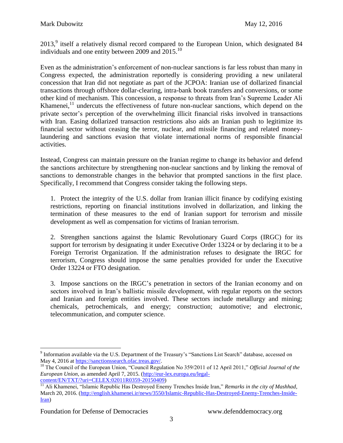$2013<sup>9</sup>$  itself a relatively dismal record compared to the European Union, which designated 84 individuals and one entity between 2009 and  $2015$ .<sup>10</sup>

Even as the administration's enforcement of non-nuclear sanctions is far less robust than many in Congress expected, the administration reportedly is considering providing a new unilateral concession that Iran did not negotiate as part of the JCPOA: Iranian use of dollarized financial transactions through offshore dollar-clearing, intra-bank book transfers and conversions, or some other kind of mechanism. This concession, a response to threats from Iran's Supreme Leader Ali Khamenei, $^{11}$  undercuts the effectiveness of future non-nuclear sanctions, which depend on the private sector's perception of the overwhelming illicit financial risks involved in transactions with Iran. Easing dollarized transaction restrictions also aids an Iranian push to legitimize its financial sector without ceasing the terror, nuclear, and missile financing and related moneylaundering and sanctions evasion that violate international norms of responsible financial activities.

Instead, Congress can maintain pressure on the Iranian regime to change its behavior and defend the sanctions architecture by strengthening non-nuclear sanctions and by linking the removal of sanctions to demonstrable changes in the behavior that prompted sanctions in the first place. Specifically, I recommend that Congress consider taking the following steps.

1. Protect the integrity of the U.S. dollar from Iranian illicit finance by codifying existing restrictions, reporting on financial institutions involved in dollarization, and linking the termination of these measures to the end of Iranian support for terrorism and missile development as well as compensation for victims of Iranian terrorism.

2. Strengthen sanctions against the Islamic Revolutionary Guard Corps (IRGC) for its support for terrorism by designating it under Executive Order 13224 or by declaring it to be a Foreign Terrorist Organization. If the administration refuses to designate the IRGC for terrorism, Congress should impose the same penalties provided for under the Executive Order 13224 or FTO designation.

3. Impose sanctions on the IRGC's penetration in sectors of the Iranian economy and on sectors involved in Iran's ballistic missile development, with regular reports on the sectors and Iranian and foreign entities involved. These sectors include metallurgy and mining; chemicals, petrochemicals, and energy; construction; automotive; and electronic, telecommunication, and computer science.

 $\overline{a}$ <sup>9</sup> Information available via the U.S. Department of the Treasury's "Sanctions List Search" database, accessed on May 4, 2016 at [https://sanctionssearch.ofac.treas.gov/.](https://sanctionssearch.ofac.treas.gov/)

<sup>10</sup> The Council of the European Union, "Council Regulation No 359/2011 of 12 April 2011," *Official Journal of the European Union*, as amended April 7, 2015. [\(http://eur-lex.europa.eu/legal](http://eur-lex.europa.eu/legal-content/EN/TXT/?uri=CELEX:02011R0359-20150409)[content/EN/TXT/?uri=CELEX:02011R0359-20150409\)](http://eur-lex.europa.eu/legal-content/EN/TXT/?uri=CELEX:02011R0359-20150409)

<sup>&</sup>lt;sup>11</sup> Ali Khamenei, "Islamic Republic Has Destroyed Enemy Trenches Inside Iran," *Remarks in the city of Mashhad*, March 20, 2016. [\(http://english.khamenei.ir/news/3550/Islamic-Republic-Has-Destroyed-Enemy-Trenches-Inside-](http://english.khamenei.ir/news/3550/Islamic-Republic-Has-Destroyed-Enemy-Trenches-Inside-Iran)[Iran\)](http://english.khamenei.ir/news/3550/Islamic-Republic-Has-Destroyed-Enemy-Trenches-Inside-Iran)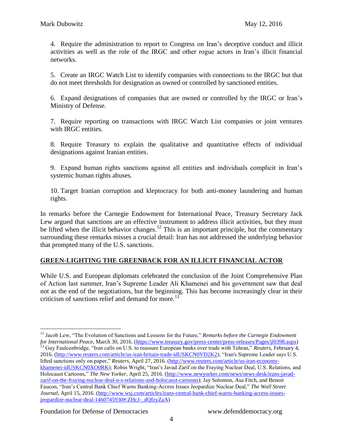4. Require the administration to report to Congress on Iran's deceptive conduct and illicit activities as well as the role of the IRGC and other rogue actors in Iran's illicit financial networks.

5. Create an IRGC Watch List to identify companies with connections to the IRGC but that do not meet thresholds for designation as owned or controlled by sanctioned entities.

6. Expand designations of companies that are owned or controlled by the IRGC or Iran's Ministry of Defense.

7. Require reporting on transactions with IRGC Watch List companies or joint ventures with IRGC entities.

8. Require Treasury to explain the qualitative and quantitative effects of individual designations against Iranian entities.

9. Expand human rights sanctions against all entities and individuals complicit in Iran's systemic human rights abuses.

10. Target Iranian corruption and kleptocracy for both anti-money laundering and human rights.

In remarks before the Carnegie Endowment for International Peace, Treasury Secretary Jack Lew argued that sanctions are an effective instrument to address illicit activities, but they must be lifted when the illicit behavior changes.<sup>12</sup> This is an important principle, but the [commentary](https://www.washingtonpost.com/posteverything/wp/2016/03/30/let-the-debate-about-economic-sanctions-begin/) [surrounding](https://www.washingtonpost.com/opinions/a-warning-against-the-overuse-of-sanctions/2016/03/29/9598557c-f5f5-11e5-8b23-538270a1ca31_story.html) these remarks misses a crucial detail: Iran has not addressed the underlying behavior that prompted many of the U.S. sanctions.

# **GREEN-LIGHTING THE GREENBACK FOR AN ILLICIT FINANCIAL ACTOR**

While U.S. and European diplomats celebrated the conclusion of the Joint Comprehensive Plan of Action last summer, Iran's Supreme Leader Ali Khamenei and his government saw that deal not as the end of the negotiations, but the beginning. This has become increasingly clear in their criticism of sanctions relief and demand for more.<sup>13</sup>

 $\overline{a}$ <sup>12</sup> Jacob Lew, "The Evolution of Sanctions and Lessons for the Future," *Remarks before the Carnegie Endowment for International Peace*, March 30, 2016. [\(https://www.treasury.gov/press-center/press-releases/Pages/jl0398.aspx\)](https://www.treasury.gov/press-center/press-releases/Pages/jl0398.aspx) <sup>13</sup> Guy Faulconbridge, "Iran calls on U.S. to reassure European banks over trade with Tehran," *Reuters*, February 4, 2016. [\(http://www.reuters.com/article/us-iran-britain-trade-idUSKCN0VD2K2\)](http://www.reuters.com/article/us-iran-britain-trade-idUSKCN0VD2K2); "Iran's Supreme Leader says U.S. lifted sanctions only on paper," *Reuters*, April 27, 2016. [\(http://www.reuters.com/article/us-iran-economy](http://www.reuters.com/article/us-iran-economy-khamenei-idUSKCN0XO0RK)[khamenei-idUSKCN0XO0RK\)](http://www.reuters.com/article/us-iran-economy-khamenei-idUSKCN0XO0RK); Robin Wright, "Iran's Javad Zarif on the Fraying Nuclear Deal, U.S. Relations, and Holocaust Cartoons," *The New Yorker*, April 25, 2016. [\(http://www.newyorker.com/news/news-desk/irans-javad](http://www.newyorker.com/news/news-desk/irans-javad-zarif-on-the-fraying-nuclear-deal-u-s-relations-and-holocaust-cartoons)[zarif-on-the-fraying-nuclear-deal-u-s-relations-and-holocaust-cartoons\)](http://www.newyorker.com/news/news-desk/irans-javad-zarif-on-the-fraying-nuclear-deal-u-s-relations-and-holocaust-cartoons); Jay Solomon, Asa Fitch, and Benoit Faucon, "Iran's Central Bank Chief Warns Banking-Access Issues Jeopardize Nuclear Deal," *The Wall Street Journal*, April 15, 2016. [\(http://www.wsj.com/articles/irans-central-bank-chief-warns-banking-access-issues](http://www.wsj.com/articles/irans-central-bank-chief-warns-banking-access-issues-jeopardize-nuclear-deal-1460745930#:ZHcJ-_dQfzyZaA)[jeopardize-nuclear-deal-1460745930#:ZHcJ-\\_dQfzyZaA\)](http://www.wsj.com/articles/irans-central-bank-chief-warns-banking-access-issues-jeopardize-nuclear-deal-1460745930#:ZHcJ-_dQfzyZaA)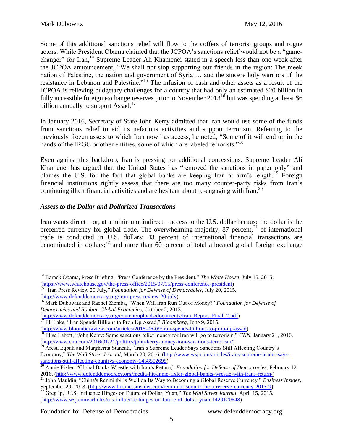Some of this additional sanctions relief will flow to the coffers of terrorist groups and rogue actors. While President Obama claimed that the JCPOA's sanctions relief would not be a "gamechanger" for Iran,<sup>14</sup> Supreme Leader Ali Khamenei stated in a speech less than one week after the JCPOA announcement, "We shall not stop supporting our friends in the region: The meek nation of Palestine, the nation and government of Syria … and the sincere holy warriors of the resistance in Lebanon and Palestine."<sup>15</sup> The infusion of cash and other assets as a result of the JCPOA is relieving budgetary challenges for a country that had only an estimated \$20 billion in fully accessible foreign exchange reserves prior to November  $2013^{16}$  but was spending at least \$6 billion annually to support Assad.<sup>17</sup>

In January 2016, Secretary of State John Kerry admitted that Iran would use some of the funds from sanctions relief to aid its nefarious activities and support terrorism. Referring to the previously frozen assets to which Iran now has access, he noted, "Some of it will end up in the hands of the IRGC or other entities, some of which are labeled terrorists."<sup>18</sup>

Even against this backdrop, Iran is pressing for additional concessions. Supreme Leader Ali Khamenei has argued that the United States has "removed the sanctions in paper only" and blames the U.S. for the fact that global banks are keeping Iran at arm's length.<sup>19</sup> Foreign financial institutions rightly assess that there are too many counter-party risks from Iran's continuing illicit financial activities and are hesitant about re-engaging with Iran.<sup>20</sup>

# *Assess to the Dollar and Dollarized Transactions*

Iran wants direct – or, at a minimum, indirect – access to the U.S. dollar because the dollar is the preferred currency for global trade. The overwhelming majority, 87 percent,  $21$  of international trade is conducted in U.S. dollars; 43 percent of international financial transactions are denominated in dollars;<sup>22</sup> and more than 60 percent of total allocated global foreign exchange

Aresu Eqbali and Margherita Stancati, "Iran's Supreme Leader Says Sanctions Still Affecting Country's Economy," *The Wall Street Journal*, March 20, 2016. [\(http://www.wsj.com/articles/irans-supreme-leader-says](http://www.wsj.com/articles/irans-supreme-leader-says-sanctions-still-affecting-countrys-economy-1458502695)[sanctions-still-affecting-countrys-economy-1458502695\)](http://www.wsj.com/articles/irans-supreme-leader-says-sanctions-still-affecting-countrys-economy-1458502695)

 $\overline{a}$ <sup>14</sup> Barack Obama, Press Briefing, "Press Conference by the President," *The White House*, July 15, 2015. [\(https://www.whitehouse.gov/the-press-office/2015/07/15/press-conference-president\)](https://www.whitehouse.gov/the-press-office/2015/07/15/press-conference-president)

<sup>15</sup> "Iran Press Review 20 July," *Foundation for Defense of Democracies*, July 20, 2015. [\(http://www.defenddemocracy.org/iran-press-review-20-july\)](http://www.defenddemocracy.org/iran-press-review-20-july)

<sup>16</sup> Mark Dubowitz and Rachel Ziemba, "When Will Iran Run Out of Money?" *Foundation for Defense of Democracies and Roubini Global Economics*, October 2, 2013.

[<sup>\(</sup>http://www.defenddemocracy.org/content/uploads/documents/Iran\\_Report\\_Final\\_2.pdf\)](http://www.defenddemocracy.org/content/uploads/documents/Iran_Report_Final_2.pdf)

<sup>&</sup>lt;sup>17</sup> Eli Lake, "Iran Spends Billions to Prop Up Assad," *Bloomberg*, June 9, 2015.

[<sup>\(</sup>http://www.bloombergview.com/articles/2015-06-09/iran-spends-billions-to-prop-up-assad\)](http://www.bloombergview.com/articles/2015-06-09/iran-spends-billions-to-prop-up-assad) <sup>18</sup> Elise Labott, "John Kerry: Some sanctions relief money for Iran will go to terrorism," *CNN*, January 21, 2016. [\(http://www.cnn.com/2016/01/21/politics/john-kerry-money-iran-sanctions-terrorism/\)](http://www.cnn.com/2016/01/21/politics/john-kerry-money-iran-sanctions-terrorism/)

<sup>20</sup> Annie Fixler, "Global Banks Wrestle with Iran's Return," *Foundation for Defense of Democracies*, February 12, 2016. [\(http://www.defenddemocracy.org/media-hit/annie-fixler-global-banks-wrestle-with-irans-return/\)](http://www.defenddemocracy.org/media-hit/annie-fixler-global-banks-wrestle-with-irans-return/)

<sup>21</sup> John Mauldin, "China's Renminbi Is Well on Its Way to Becoming a Global Reserve Currency," *Business Insider*, September 29, 2013. [\(http://www.businessinsider.com/renminbi-soon-to-be-a-reserve-currency-2013-9\)](http://www.businessinsider.com/renminbi-soon-to-be-a-reserve-currency-2013-9)

<sup>22</sup> Greg Ip, "U.S. Influence Hinges on Future of Dollar, Yuan," *The Wall Street Journal*, April 15, 2015. [\(http://www.wsj.com/articles/u-s-influence-hinges-on-future-of-dollar-yuan-1429120648\)](http://www.wsj.com/articles/u-s-influence-hinges-on-future-of-dollar-yuan-1429120648)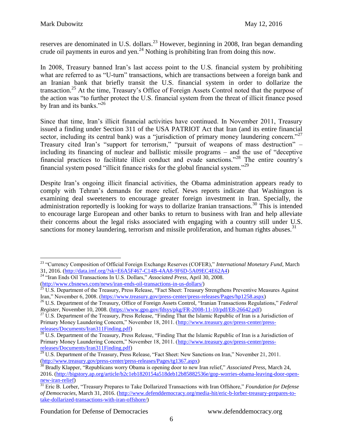reserves are denominated in U.S. dollars.<sup>23</sup> However, beginning in 2008, Iran began demanding crude oil payments in euros and yen.<sup>24</sup> Nothing is prohibiting Iran from doing this now.

In 2008, Treasury banned Iran's last access point to the U.S. financial system by prohibiting what are referred to as "U-turn" transactions, which are transactions between a foreign bank and an Iranian bank that briefly transit the U.S. financial system in order to dollarize the transaction.<sup>25</sup> At the time, Treasury's Office of Foreign Assets Control noted that the purpose of the action was "to further protect the U.S. financial system from the threat of illicit finance posed by Iran and its banks."<sup>26</sup>

Since that time, Iran's illicit financial activities have continued. In November 2011, Treasury issued a finding under Section 311 of the USA PATRIOT Act that Iran (and its entire financial sector, including its central bank) was a "jurisdiction of primary money laundering concern."<sup>27</sup> Treasury cited Iran's "support for terrorism," "pursuit of weapons of mass destruction" – including its financing of nuclear and ballistic missile programs – and the use of "deceptive financial practices to facilitate illicit conduct and evade sanctions."<sup>28</sup> The entire country's financial system posed "illicit finance risks for the global financial system."<sup>29</sup>

Despite Iran's ongoing illicit financial activities, the Obama administration appears ready to comply with Tehran's demands for more relief. News reports indicate that Washington is examining deal sweeteners to encourage greater foreign investment in Iran. Specially, the administration reportedly is looking for ways to dollarize Iranian transactions.<sup>30</sup> This is intended to encourage large European and other banks to return to business with Iran and help alleviate their concerns about the legal risks associated with engaging with a country still under U.S. sanctions for money laundering, terrorism and missile proliferation, and human rights abuses.<sup>31</sup>

 $\overline{a}$ <sup>23</sup> "Currency Composition of Official Foreign Exchange Reserves (COFER)," *International Monetary Fund*, March 31, 2016. [\(http://data.imf.org/?sk=E6A5F467-C14B-4AA8-9F6D-5A09EC4E62A4\)](http://data.imf.org/?sk=E6A5F467-C14B-4AA8-9F6D-5A09EC4E62A4)

<sup>24</sup> "Iran Ends Oil Transactions In U.S. Dollars," *Associated Press*, April 30, 2008. [\(http://www.cbsnews.com/news/iran-ends-oil-transactions-in-us-dollars/\)](http://www.cbsnews.com/news/iran-ends-oil-transactions-in-us-dollars/)<br> $\frac{25 \text{ H.S.} \text{ D.} \times \text{m}}{25 \text{ H.S.} \text{ D.} \times \text{m}}$ 

U.S. Department of the Treasury, Press Release, "Fact Sheet: Treasury Strengthens Preventive Measures Against Iran," November 6, 2008. [\(https://www.treasury.gov/press-center/press-releases/Pages/hp1258.aspx\)](https://www.treasury.gov/press-center/press-releases/Pages/hp1258.aspx)

<sup>26</sup> U.S. Department of the Treasury, Office of Foreign Assets Control, "Iranian Transactions Regulations," *Federal Register*, November 10, 2008. [\(https://www.gpo.gov/fdsys/pkg/FR-2008-11-10/pdf/E8-26642.pdf\)](https://www.gpo.gov/fdsys/pkg/FR-2008-11-10/pdf/E8-26642.pdf)

<sup>&</sup>lt;sup>27</sup> U.S. Department of the Treasury, Press Release, "Finding That the Islamic Republic of Iran is a Jurisdiction of Primary Money Laundering Concern," November 18, 2011. [\(http://www.treasury.gov/press-center/press](http://www.treasury.gov/press-center/press-releases/Documents/Iran311Finding.pdf)[releases/Documents/Iran311Finding.pdf\)](http://www.treasury.gov/press-center/press-releases/Documents/Iran311Finding.pdf)

<sup>&</sup>lt;sup>28</sup> U.S. Department of the Treasury, Press Release, "Finding That the Islamic Republic of Iran is a Jurisdiction of Primary Money Laundering Concern," November 18, 2011. [\(http://www.treasury.gov/press-center/press](http://www.treasury.gov/press-center/press-releases/Documents/Iran311Finding.pdf)[releases/Documents/Iran311Finding.pdf\)](http://www.treasury.gov/press-center/press-releases/Documents/Iran311Finding.pdf)

 $29$  U.S. Department of the Treasury, Press Release, "Fact Sheet: New Sanctions on Iran," November 21, 2011. [\(http://www.treasury.gov/press-center/press-releases/Pages/tg1367.aspx\)](http://www.treasury.gov/press-center/press-releases/Pages/tg1367.aspx)

<sup>30</sup> Bradly Klapper, "Republicans worry Obama is opening door to new Iran relief," *Associated Press*, March 24, 2016. [\(http://bigstory.ap.org/article/b2c1eb1820154a518deb12b85882536e/gop-worries-obama-leaving-door-open](http://bigstory.ap.org/article/b2c1eb1820154a518deb12b85882536e/gop-worries-obama-leaving-door-open-new-iran-relief)[new-iran-relief\)](http://bigstory.ap.org/article/b2c1eb1820154a518deb12b85882536e/gop-worries-obama-leaving-door-open-new-iran-relief)

<sup>31</sup> Eric B. Lorber, "Treasury Prepares to Take Dollarized Transactions with Iran Offshore," *Foundation for Defense of Democracies*, March 31, 2016. [\(http://www.defenddemocracy.org/media-hit/eric-b-lorber-treasury-prepares-to](http://www.defenddemocracy.org/media-hit/eric-b-lorber-treasury-prepares-to-take-dollarized-transactions-with-iran-offshore/)[take-dollarized-transactions-with-iran-offshore/\)](http://www.defenddemocracy.org/media-hit/eric-b-lorber-treasury-prepares-to-take-dollarized-transactions-with-iran-offshore/)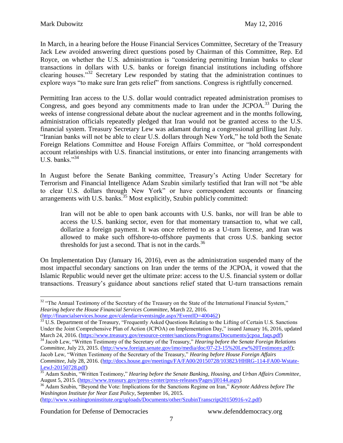In March, in a hearing before the House Financial Services Committee, Secretary of the Treasury Jack Lew avoided answering direct questions posed by Chairman of this Committee, Rep. Ed Royce, on whether the U.S. administration is "considering permitting Iranian banks to clear transactions in dollars with U.S. banks or foreign financial institutions including offshore clearing houses."<sup>32</sup> Secretary Lew responded by stating that the administration continues to explore ways "to make sure Iran gets relief" from sanctions. Congress is rightfully concerned.

Permitting Iran access to the U.S. dollar would contradict repeated administration promises to Congress, and goes beyond any commitments made to Iran under the JCPOA.<sup>33</sup> During the weeks of intense congressional debate about the nuclear agreement and in the months following, administration officials repeatedly pledged that Iran would not be granted access to the U.S. financial system. Treasury Secretary Lew was adamant during a congressional grilling last July. "Iranian banks will not be able to clear U.S. dollars through New York," he told both the Senate Foreign Relations Committee and House Foreign Affairs Committee, or "hold correspondent account relationships with U.S. financial institutions, or enter into financing arrangements with U.S. banks." $34$ 

In August before the Senate Banking committee, Treasury's Acting Under Secretary for Terrorism and Financial Intelligence Adam Szubin similarly testified that Iran will not "be able to clear U.S. dollars through New York" or have correspondent accounts or financing arrangements with U.S. banks.<sup>35</sup> Most explicitly, Szubin publicly committed:

Iran will not be able to open bank accounts with U.S. banks, nor will Iran be able to access the U.S. banking sector, even for that momentary transaction to, what we call, dollarize a foreign payment. It was once referred to as a U-turn license, and Iran was allowed to make such offshore-to-offshore payments that cross U.S. banking sector thresholds for just a second. That is not in the cards. $36$ 

On Implementation Day (January 16, 2016), even as the administration suspended many of the most impactful secondary sanctions on Iran under the terms of the JCPOA, it vowed that the Islamic Republic would never get the ultimate prize: access to the U.S. financial system or dollar transactions. Treasury's guidance about sanctions relief stated that U-turn transactions remain

[\(http://www.washingtoninstitute.org/uploads/Documents/other/SzubinTranscript20150916-v2.pdf\)](http://www.washingtoninstitute.org/uploads/Documents/other/SzubinTranscript20150916-v2.pdf)

<sup>&</sup>lt;sup>32</sup> "The Annual Testimony of the Secretary of the Treasury on the State of the International Financial System," *Hearing before the House Financial Services Committee*, March 22, 2016. [\(http://financialservices.house.gov/calendar/eventsingle.aspx?EventID=400462\)](http://financialservices.house.gov/calendar/eventsingle.aspx?EventID=400462)

 $33 \text{ U.S.}$  Department of the Treasury, "Frequently Asked Questions Relating to the Lifting of Certain U.S. Sanctions Under the Joint Comprehensive Plan of Action (JCPOA) on Implementation Day," issued January 16, 2016, updated March 24, 2016. [\(https://www.treasury.gov/resource-center/sanctions/Programs/Documents/jcpoa\\_faqs.pdf\)](https://www.treasury.gov/resource-center/sanctions/Programs/Documents/jcpoa_faqs.pdf)

<sup>34</sup> Jacob Lew, "Written Testimony of the Secretary of the Treasury," *Hearing before the Senate Foreign Relations Committee*, July 23, 2015. [\(http://www.foreign.senate.gov/imo/media/doc/07-23-15%20Lew%20Testimony.pdf\)](http://www.foreign.senate.gov/imo/media/doc/07-23-15%20Lew%20Testimony.pdf); Jacob Lew, "Written Testimony of the Secretary of the Treasury," *Hearing before House Foreign Affairs Committee*, July 28, 2016. [\(http://docs.house.gov/meetings/FA/FA00/20150728/103823/HHRG-114-FA00-Wstate-](http://docs.house.gov/meetings/FA/FA00/20150728/103823/HHRG-114-FA00-Wstate-LewJ-20150728.pdf)[LewJ-20150728.pdf\)](http://docs.house.gov/meetings/FA/FA00/20150728/103823/HHRG-114-FA00-Wstate-LewJ-20150728.pdf)

<sup>35</sup> Adam Szubin, "Written Testimony," *Hearing before the Senate Banking, Housing, and Urban Affairs Committee*, August 5, 2015. [\(https://www.treasury.gov/press-center/press-releases/Pages/jl0144.aspx\)](https://www.treasury.gov/press-center/press-releases/Pages/jl0144.aspx)

<sup>36</sup> Adam Szubin, "Beyond the Vote: Implications for the Sanctions Regime on Iran," *Keynote Address before The Washington Institute for Near East Policy*, September 16, 2015.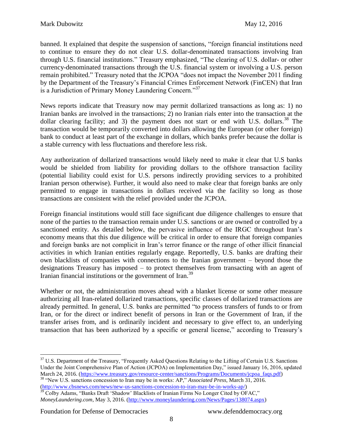banned. It explained that despite the suspension of sanctions, "foreign financial institutions need to continue to ensure they do not clear U.S. dollar-denominated transactions involving Iran through U.S. financial institutions." Treasury emphasized, "The clearing of U.S. dollar- or other currency-denominated transactions through the U.S. financial system or involving a U.S. person remain prohibited." Treasury noted that the JCPOA "does not impact the November 2011 finding by the Department of the Treasury's Financial Crimes Enforcement Network (FinCEN) that Iran is a Jurisdiction of Primary Money Laundering Concern."<sup>37</sup>

News reports indicate that Treasury now may permit dollarized transactions as long as: 1) no Iranian banks are involved in the transactions; 2) no Iranian rials enter into the transaction at the dollar clearing facility; and 3) the payment does not start or end with U.S. dollars.<sup>38</sup> The transaction would be temporarily converted into dollars allowing the European (or other foreign) bank to conduct at least part of the exchange in dollars, which banks prefer because the dollar is a stable currency with less fluctuations and therefore less risk.

Any authorization of dollarized transactions would likely need to make it clear that U.S banks would be shielded from liability for providing dollars to the offshore transaction facility (potential liability could exist for U.S. persons indirectly providing services to a prohibited Iranian person otherwise). Further, it would also need to make clear that foreign banks are only permitted to engage in transactions in dollars received via the facility so long as those transactions are consistent with the relief provided under the JCPOA.

Foreign financial institutions would still face significant due diligence challenges to ensure that none of the parties to the transaction remain under U.S. sanctions or are owned or controlled by a sanctioned entity. As detailed below, the pervasive influence of the IRGC throughout Iran's economy means that this due diligence will be critical in order to ensure that foreign companies and foreign banks are not complicit in Iran's terror finance or the range of other illicit financial activities in which Iranian entities regularly engage. Reportedly, U.S. banks are drafting their own blacklists of companies with connections to the Iranian government – beyond those the designations Treasury has imposed – to protect themselves from transacting with an agent of Iranian financial institutions or the government of Iran.<sup>39</sup>

Whether or not, the administration moves ahead with a blanket license or some other measure authorizing all Iran-related dollarized transactions, specific classes of dollarized transactions are already permitted. In general, U.S. banks are permitted "to process transfers of funds to or from Iran, or for the direct or indirect benefit of persons in Iran or the Government of Iran, if the transfer arises from, and is ordinarily incident and necessary to give effect to, an underlying transaction that has been authorized by a specific or general license," according to Treasury's

[\(http://www.cbsnews.com/news/new-us-sanctions-concession-to-iran-may-be-in-works-ap/\)](http://www.cbsnews.com/news/new-us-sanctions-concession-to-iran-may-be-in-works-ap/) <sup>39</sup> Colby Adams, "Banks Draft 'Shadow' Blacklists of Iranian Firms No Longer Cited by OFAC," *MoneyLaundering.com*, May 3, 2016. [\(http://www.moneylaundering.com/News/Pages/138074.aspx\)](http://www.moneylaundering.com/News/Pages/138074.aspx)

Foundation for Defense of Democracies www.defenddemocracy.org

<sup>&</sup>lt;sup>37</sup> U.S. Department of the Treasury, "Frequently Asked Questions Relating to the Lifting of Certain U.S. Sanctions Under the Joint Comprehensive Plan of Action (JCPOA) on Implementation Day," issued January 16, 2016, updated March 24, 2016. [\(https://www.treasury.gov/resource-center/sanctions/Programs/Documents/jcpoa\\_faqs.pdf\)](https://www.treasury.gov/resource-center/sanctions/Programs/Documents/jcpoa_faqs.pdf) <sup>38</sup> "New U.S. sanctions concession to Iran may be in works: AP," *Associated Press*, March 31, 2016.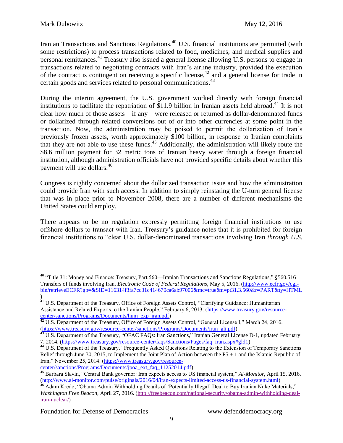Iranian Transactions and Sanctions Regulations.<sup>40</sup> U.S. financial institutions are permitted (with some restrictions) to process transactions related to food, medicines, and medical supplies and personal remittances.<sup>41</sup> Treasury also issued a general license allowing U.S. persons to engage in transactions related to negotiating contracts with Iran's airline industry, provided the execution of the contract is contingent on receiving a specific license,<sup>42</sup> and a general license for trade in certain goods and services related to personal communications.<sup>43</sup>

During the interim agreement, the U.S. government worked directly with foreign financial institutions to facilitate the repatriation of \$11.9 billion in Iranian assets held abroad.<sup>44</sup> It is not clear how much of those assets – if any – were released or returned as dollar-denominated funds or dollarized through related conversions out of or into other currencies at some point in the transaction. Now, the administration may be poised to permit the dollarization of Iran's previously frozen assets, worth approximately \$100 billion, in response to Iranian complaints that they are not able to use these funds.<sup>45</sup> Additionally, the administration will likely route the \$8.6 million payment for 32 metric tons of Iranian heavy water through a foreign financial institution, although administration officials have not provided specific details about whether this payment will use dollars.<sup>46</sup>

Congress is rightly concerned about the dollarized transaction issue and how the administration could provide Iran with such access. In addition to simply reinstating the U-turn general license that was in place prior to November 2008, there are a number of different mechanisms the United States could employ.

There appears to be no regulation expressly permitting foreign financial institutions to use offshore dollars to transact with Iran. Treasury's guidance notes that it is prohibited for foreign financial institutions to "clear U.S. dollar-denominated transactions involving Iran *through U.S.* 

 $\overline{a}$ <sup>40</sup> "Title 31: Money and Finance: Treasury, Part 560—Iranian Transactions and Sanctions Regulations," §560.516 Transfers of funds involving Iran, *Electronic Code of Federal Regulations*, May 5, 2016. [\(http://www.ecfr.gov/cgi](http://www.ecfr.gov/cgi-bin/retrieveECFR?gp=&SID=116314f3fa7cc31c414670ca6ab97006&mc=true&n=pt31.3.560&r=PART&ty=HTML)[bin/retrieveECFR?gp=&SID=116314f3fa7cc31c414670ca6ab97006&mc=true&n=pt31.3.560&r=PART&ty=HTML](http://www.ecfr.gov/cgi-bin/retrieveECFR?gp=&SID=116314f3fa7cc31c414670ca6ab97006&mc=true&n=pt31.3.560&r=PART&ty=HTML) )

 $^{41}$  U.S. Department of the Treasury, Office of Foreign Assets Control, "Clarifying Guidance: Humanitarian Assistance and Related Exports to the Iranian People," February 6, 2013. [\(https://www.treasury.gov/resource](https://www.treasury.gov/resource-center/sanctions/Programs/Documents/hum_exp_iran.pdf)[center/sanctions/Programs/Documents/hum\\_exp\\_iran.pdf\)](https://www.treasury.gov/resource-center/sanctions/Programs/Documents/hum_exp_iran.pdf)

 $42$  U.S. Department of the Treasury, Office of Foreign Assets Control, "General License I," March 24, 2016. [\(https://www.treasury.gov/resource-center/sanctions/Programs/Documents/iran\\_gli.pdf\)](https://www.treasury.gov/resource-center/sanctions/Programs/Documents/iran_gli.pdf)

<sup>&</sup>lt;sup>43</sup> U.S. Department of the Treasury, "OFAC FAQs: Iran Sanctions," Iranian General License D-1, updated February 7, 2014. [\(https://www.treasury.gov/resource-center/faqs/Sanctions/Pages/faq\\_iran.aspx#gld1\)](https://www.treasury.gov/resource-center/faqs/Sanctions/Pages/faq_iran.aspx#gld1)

<sup>&</sup>lt;sup>44</sup> U.S. Department of the Treasury, "Frequently Asked Questions Relating to the Extension of Temporary Sanctions Relief through June 30, 2015, to Implement the Joint Plan of Action between the P5 + 1 and the Islamic Republic of Iran," November 25, 2014. [\(https://www.treasury.gov/resource-](https://www.treasury.gov/resource-center/sanctions/Programs/Documents/jpoa_ext_faq_11252014.pdf)

[center/sanctions/Programs/Documents/jpoa\\_ext\\_faq\\_11252014.pdf\)](https://www.treasury.gov/resource-center/sanctions/Programs/Documents/jpoa_ext_faq_11252014.pdf)

<sup>45</sup> Barbara Slavin, "Central Bank governor: Iran expects access to US financial system," *Al-Monitor*, April 15, 2016. [\(http://www.al-monitor.com/pulse/originals/2016/04/iran-expects-limited-access-us-financial-system.html\)](http://www.al-monitor.com/pulse/originals/2016/04/iran-expects-limited-access-us-financial-system.html)

<sup>&</sup>lt;sup>46</sup> Adam Kredo, "Obama Admin Withholding Details of 'Potentially Illegal' Deal to Buy Iranian Nuke Materials," *Washington Free Beacon*, April 27, 2016. [\(http://freebeacon.com/national-security/obama-admin-withholding-deal](http://freebeacon.com/national-security/obama-admin-withholding-deal-iran-nuclear/)[iran-nuclear/\)](http://freebeacon.com/national-security/obama-admin-withholding-deal-iran-nuclear/)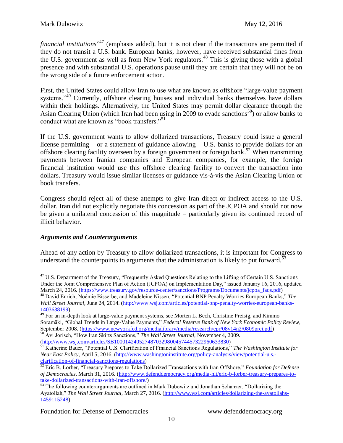*financial institutions*" <sup>47</sup> (emphasis added), but it is not clear if the transactions are permitted if they do not transit a U.S. bank. European banks, however, have received substantial fines from the U.S. government as well as from New York regulators.<sup>48</sup> This is giving those with a global presence and with substantial U.S. operations pause until they are certain that they will not be on the wrong side of a future enforcement action.

First, the United States could allow Iran to use what are known as offshore "large-value payment systems."<sup>49</sup> Currently, offshore clearing houses and individual banks themselves have dollars within their holdings. Alternatively, the United States may permit dollar clearance through the Asian Clearing Union (which Iran had been using in 2009 to evade sanctions<sup>50</sup>) or allow banks to conduct what are known as "book transfers."<sup>51</sup>

If the U.S. government wants to allow dollarized transactions, Treasury could issue a general license permitting – or a statement of guidance allowing – U.S. banks to provide dollars for an offshore clearing facility overseen by a foreign government or foreign bank.<sup>52</sup> When transmitting payments between Iranian companies and European companies, for example, the foreign financial institution would use this offshore clearing facility to convert the transaction into dollars. Treasury would issue similar licenses or guidance vis-à-vis the Asian Clearing Union or book transfers.

Congress should reject all of these attempts to give Iran direct or indirect access to the U.S. dollar. Iran did not explicitly negotiate this concession as part of the JCPOA and should not now be given a unilateral concession of this magnitude – particularly given its continued record of illicit behavior.

#### *Arguments and Counterarguments*

Ahead of any action by Treasury to allow dollarized transactions, it is important for Congress to understand the counterpoints to arguments that the administration is likely to put forward.<sup>53</sup>

 $\overline{a}$ <sup>47</sup> U.S. Department of the Treasury, "Frequently Asked Questions Relating to the Lifting of Certain U.S. Sanctions Under the Joint Comprehensive Plan of Action (JCPOA) on Implementation Day," issued January 16, 2016, updated March 24, 2016. [\(https://www.treasury.gov/resource-center/sanctions/Programs/Documents/jcpoa\\_faqs.pdf\)](https://www.treasury.gov/resource-center/sanctions/Programs/Documents/jcpoa_faqs.pdf) <sup>48</sup> David Enrich, Noémie Bisserbe, and Madeleine Nissen, "Potential BNP Penalty Worries European Banks," *The* 

*Wall Street Journal*, June 24, 2014. [\(http://www.wsj.com/articles/potential-bnp-penalty-worries-european-banks-](http://www.wsj.com/articles/potential-bnp-penalty-worries-european-banks-1403638199)[1403638199\)](http://www.wsj.com/articles/potential-bnp-penalty-worries-european-banks-1403638199)

<sup>&</sup>lt;sup>49</sup> For an in-depth look at large-value payment systems, see Morten L. Bech, Christine Preisig, and Kimmo Soramäki, "Global Trends in Large-Value Payments," *Federal Reserve Bank of New York Economic Policy Review*, September 2008. [\(https://www.newyorkfed.org/medialibrary/media/research/epr/08v14n2/0809prei.pdf\)](https://www.newyorkfed.org/medialibrary/media/research/epr/08v14n2/0809prei.pdf)

<sup>50</sup> Avi Jorisch, "How Iran Skirts Sanctions," *The Wall Street Journal*, November 4, 2009. [\(http://www.wsj.com/articles/SB10001424052748703298004574457322960633830\)](http://www.wsj.com/articles/SB10001424052748703298004574457322960633830)

<sup>51</sup> Katherine Bauer, "Potential U.S. Clarification of Financial Sanctions Regulations," *The Washington Institute for Near East Policy*, April 5, 2016. [\(http://www.washingtoninstitute.org/policy-analysis/view/potential-u.s.](http://www.washingtoninstitute.org/policy-analysis/view/potential-u.s.-clarification-of-financial-sanctions-regulations) [clarification-of-financial-sanctions-regulations\)](http://www.washingtoninstitute.org/policy-analysis/view/potential-u.s.-clarification-of-financial-sanctions-regulations)

<sup>52</sup> Eric B. Lorber, "Treasury Prepares to Take Dollarized Transactions with Iran Offshore," *Foundation for Defense of Democracies*, March 31, 2016. [\(http://www.defenddemocracy.org/media-hit/eric-b-lorber-treasury-prepares-to](http://www.defenddemocracy.org/media-hit/eric-b-lorber-treasury-prepares-to-take-dollarized-transactions-with-iran-offshore/)[take-dollarized-transactions-with-iran-offshore/\)](http://www.defenddemocracy.org/media-hit/eric-b-lorber-treasury-prepares-to-take-dollarized-transactions-with-iran-offshore/)

<sup>&</sup>lt;sup>53</sup> The following counterarguments are outlined in Mark Dubowitz and Jonathan Schanzer, "Dollarizing the Ayatollah," *The Wall Street Journal*, March 27, 2016. [\(http://www.wsj.com/articles/dollarizing-the-ayatollahs-](http://www.wsj.com/articles/dollarizing-the-ayatollahs-1459115248)[1459115248\)](http://www.wsj.com/articles/dollarizing-the-ayatollahs-1459115248)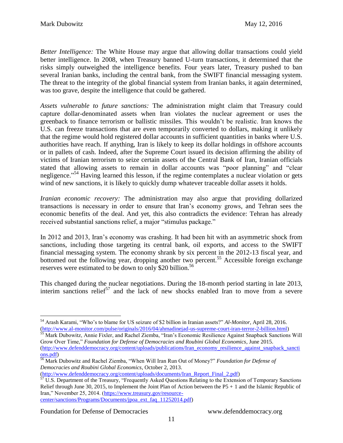*Better Intelligence:* The White House may argue that allowing dollar transactions could yield better intelligence. In 2008, when Treasury banned U-turn transactions, it determined that the risks simply outweighed the intelligence benefits. Four years later, Treasury pushed to ban several Iranian banks, including the central bank, from the SWIFT financial messaging system. The threat to the integrity of the global financial system from Iranian banks, it again determined, was too grave, despite the intelligence that could be gathered.

*Assets vulnerable to future sanctions:* The administration might claim that Treasury could capture dollar-denominated assets when Iran violates the nuclear agreement or uses the greenback to finance terrorism or ballistic missiles. This wouldn't be realistic. Iran knows the U.S. can freeze transactions that are even temporarily converted to dollars, making it unlikely that the regime would hold registered dollar accounts in sufficient quantities in banks where U.S. authorities have reach. If anything, Iran is likely to keep its dollar holdings in offshore accounts or in pallets of cash. Indeed, after the Supreme Court issued its decision affirming the ability of victims of Iranian terrorism to seize certain assets of the Central Bank of Iran, Iranian officials stated that allowing assets to remain in dollar accounts was "poor planning" and "clear negligence."<sup>54</sup> Having learned this lesson, if the regime contemplates a nuclear violation or gets wind of new sanctions, it is likely to quickly dump whatever traceable dollar assets it holds.

*Iranian economic recovery:* The administration may also argue that providing dollarized transactions is necessary in order to ensure that Iran's economy grows, and Tehran sees the economic benefits of the deal. And yet, this also contradicts the evidence: Tehran has already received substantial sanctions relief, a major "stimulus package."

In 2012 and 2013, Iran's economy was crashing. It had been hit with an asymmetric shock from sanctions, including those targeting its central bank, oil exports, and access to the SWIFT financial messaging system. The economy shrank by six percent in the 2012-13 fiscal year, and bottomed out the following year, dropping another two percent.<sup>55</sup> Accessible foreign exchange reserves were estimated to be down to only \$20 billion.<sup>56</sup>

This changed during the nuclear negotiations. During the 18-month period starting in late 2013, interim sanctions relief<sup>57</sup> and the lack of new shocks enabled Iran to move from a severe

[\(http://www.defenddemocracy.org/content/uploads/documents/Iran\\_Report\\_Final\\_2.pdf\)](http://www.defenddemocracy.org/content/uploads/documents/Iran_Report_Final_2.pdf)

 $\overline{a}$ <sup>54</sup> Arash Karami, "Who's to blame for US seizure of \$2 billion in Iranian assets?" *Al-Monitor*, April 28, 2016. [\(http://www.al-monitor.com/pulse/originals/2016/04/ahmadinejad-us-supreme-court-iran-terror-2-billion.html\)](http://www.al-monitor.com/pulse/originals/2016/04/ahmadinejad-us-supreme-court-iran-terror-2-billion.html)

<sup>&</sup>lt;sup>55</sup> Mark Dubowitz, Annie Fixler, and Rachel Ziemba, "Iran's Economic Resilience Against Snapback Sanctions Will Grow Over Time," *Foundation for Defense of Democracies and Roubini Global Economics*, June 2015. [\(http://www.defenddemocracy.org/content/uploads/publications/Iran\\_economy\\_resilience\\_against\\_snapback\\_sancti](http://www.defenddemocracy.org/content/uploads/publications/Iran_economy_resilience_against_snapback_sanctions.pdf) [ons.pdf\)](http://www.defenddemocracy.org/content/uploads/publications/Iran_economy_resilience_against_snapback_sanctions.pdf)

<sup>56</sup> Mark Dubowitz and Rachel Ziemba, "When Will Iran Run Out of Money?" *Foundation for Defense of Democracies and Roubini Global Economics*, October 2, 2013.

 $57 \text{ U.S. Department of the Treasury, "Frequently Asked Questions Relating to the Extension of Temporary Sanctions$ Relief through June 30, 2015, to Implement the Joint Plan of Action between the P5 + 1 and the Islamic Republic of Iran," November 25, 2014. [\(https://www.treasury.gov/resource](https://www.treasury.gov/resource-center/sanctions/Programs/Documents/jpoa_ext_faq_11252014.pdf)[center/sanctions/Programs/Documents/jpoa\\_ext\\_faq\\_11252014.pdf\)](https://www.treasury.gov/resource-center/sanctions/Programs/Documents/jpoa_ext_faq_11252014.pdf)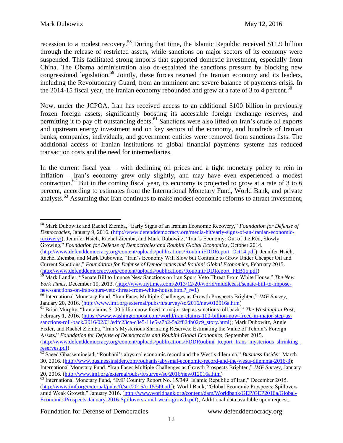recession to a modest recovery.<sup>58</sup> During that time, the Islamic Republic received \$11.9 billion through the release of restricted assets, while sanctions on major sectors of its economy were suspended. This facilitated strong imports that supported domestic investment, especially from China. The Obama administration also de-escalated the sanctions pressure by blocking new congressional legislation.<sup>59</sup> Jointly, these forces rescued the Iranian economy and its leaders, including the Revolutionary Guard, from an imminent and severe balance of payments crisis. In the 2014-15 fiscal year, the Iranian economy rebounded and grew at a rate of 3 to 4 percent.<sup>60</sup>

Now, under the JCPOA, Iran has received access to an additional \$100 billion in previously frozen foreign assets, significantly boosting its accessible foreign exchange reserves, and permitting it to pay off outstanding debts.<sup>61</sup> Sanctions were also lifted on Iran's crude oil exports and upstream energy investment and on key sectors of the economy, and hundreds of Iranian banks, companies, individuals, and government entities were removed from sanctions lists. The additional access of Iranian institutions to global financial payments systems has reduced transaction costs and the need for intermediaries.

In the current fiscal year – with declining oil prices and a tight monetary policy to rein in inflation – Iran's economy grew only slightly, and may have even experienced a modest contraction.<sup>62</sup> But in the coming fiscal year, its economy is projected to grow at a rate of 3 to 6 percent, according to estimates from the International Monetary Fund, World Bank, and private analysts.<sup>63</sup> Assuming that Iran continues to make modest economic reforms to attract investment,

<sup>58</sup> Mark Dubowitz and Rachel Ziemba, "Early Signs of an Iranian Economic Recovery," *Foundation for Defense of Democracies*, January 9, 2016. [\(http://www.defenddemocracy.org/media-hit/early-signs-of-an-iranian-economic](http://www.defenddemocracy.org/media-hit/early-signs-of-an-iranian-economic-recovery/)[recovery/\)](http://www.defenddemocracy.org/media-hit/early-signs-of-an-iranian-economic-recovery/); Jennifer Hsieh, Rachel Ziemba, and Mark Dubowitz, "Iran's Economy: Out of the Red, Slowly Growing," *Foundation for Defense of Democracies and Roubini Global Economics*, October 2014. [\(http://www.defenddemocracy.org/content/uploads/publications/RoubiniFDDReport\\_Oct14.pdf\)](http://www.defenddemocracy.org/content/uploads/publications/RoubiniFDDReport_Oct14.pdf); Jennifer Hsieh,

<sup>61</sup> Brian Murphy, "Iran claims \$100 billion now freed in major step as sanctions roll back," *The Washington Post*, February 1, 2016. [\(https://www.washingtonpost.com/world/iran-claims-100-billion-now-freed-in-major-step-as](https://www.washingtonpost.com/world/iran-claims-100-billion-now-freed-in-major-step-as-sanctions-roll-back/2016/02/01/edfc23ca-c8e5-11e5-a7b2-5a2f824b02c9_story.html)[sanctions-roll-back/2016/02/01/edfc23ca-c8e5-11e5-a7b2-5a2f824b02c9\\_story.html\)](https://www.washingtonpost.com/world/iran-claims-100-billion-now-freed-in-major-step-as-sanctions-roll-back/2016/02/01/edfc23ca-c8e5-11e5-a7b2-5a2f824b02c9_story.html); Mark Dubowitz, Annie Fixler, and Rachel Ziemba, "Iran's Mysterious Shrinking Reserves: Estimating the Value of Tehran's Foreign Assets," *Foundation for Defense of Democracies and Roubini Global Economics*, September 2015.

Rachel Ziemba, and Mark Dubowitz, "Iran's Economy Will Slow but Continue to Grow Under Cheaper Oil and Current Sanctions," *Foundation for Defense of Democracies and Roubini Global Economics*, February 2015. [\(http://www.defenddemocracy.org/content/uploads/publications/RoubiniFDDReport\\_FEB15.pdf\)](http://www.defenddemocracy.org/content/uploads/publications/RoubiniFDDReport_FEB15.pdf)

<sup>59</sup> Mark Landler, "Senate Bill to Impose New Sanctions on Iran Spurs Veto Threat From White House," *The New York Times*, December 19, 2013. [\(http://www.nytimes.com/2013/12/20/world/middleeast/senate-bill-to-impose](http://www.nytimes.com/2013/12/20/world/middleeast/senate-bill-to-impose-new-sanctions-on-iran-spurs-veto-threat-from-white-house.html?_r=1)[new-sanctions-on-iran-spurs-veto-threat-from-white-house.html?\\_r=1\)](http://www.nytimes.com/2013/12/20/world/middleeast/senate-bill-to-impose-new-sanctions-on-iran-spurs-veto-threat-from-white-house.html?_r=1)

<sup>60</sup> International Monetary Fund, "Iran Faces Multiple Challenges as Growth Prospects Brighten," *IMF Survey*, January 20, 2016. [\(http://www.imf.org/external/pubs/ft/survey/so/2016/new012016a.htm\)](http://www.imf.org/external/pubs/ft/survey/so/2016/new012016a.htm)

[<sup>\(</sup>http://www.defenddemocracy.org/content/uploads/publications/FDDRoubini\\_Report\\_Irans\\_mysterious\\_shrinking\\_](http://www.defenddemocracy.org/content/uploads/publications/FDDRoubini_Report_Irans_mysterious_shrinking_reserves.pdf) [reserves.pdf\)](http://www.defenddemocracy.org/content/uploads/publications/FDDRoubini_Report_Irans_mysterious_shrinking_reserves.pdf)

<sup>62</sup> Saeed Ghasseminejad, "Rouhani's abysmal economic record and the West's dilemma," *Business Insider*, March 30, 2016. [\(http://www.businessinsider.com/rouhanis-abysmal-economic-record-and-the-wests-dilemma-2016-3\)](http://www.businessinsider.com/rouhanis-abysmal-economic-record-and-the-wests-dilemma-2016-3); International Monetary Fund, "Iran Faces Multiple Challenges as Growth Prospects Brighten," *IMF Survey*, January 20, 2016. [\(http://www.imf.org/external/pubs/ft/survey/so/2016/new012016a.htm\)](http://www.imf.org/external/pubs/ft/survey/so/2016/new012016a.htm)

<sup>&</sup>lt;sup>63</sup> International Monetary Fund, "IMF Country Report No. 15/349: Islamic Republic of Iran," December 2015. [\(http://www.imf.org/external/pubs/ft/scr/2015/cr15349.pdf\)](http://www.imf.org/external/pubs/ft/scr/2015/cr15349.pdf); World Bank, "Global Economic Prospects: Spillovers amid Weak Growth," January 2016. [\(http://www.worldbank.org/content/dam/Worldbank/GEP/GEP2016a/Global-](http://www.worldbank.org/content/dam/Worldbank/GEP/GEP2016a/Global-Economic-Prospects-January-2016-Spillovers-amid-weak-growth.pdf)[Economic-Prospects-January-2016-Spillovers-amid-weak-growth.pdf\)](http://www.worldbank.org/content/dam/Worldbank/GEP/GEP2016a/Global-Economic-Prospects-January-2016-Spillovers-amid-weak-growth.pdf); Additional data available upon request.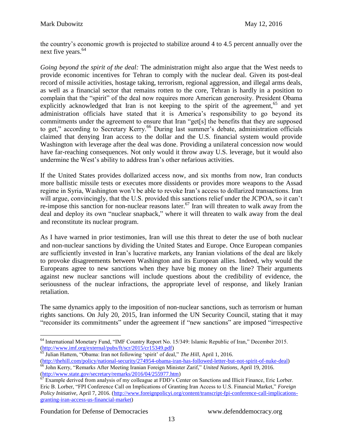the country's economic growth is projected to stabilize around 4 to 4.5 percent annually over the next five years.<sup>64</sup>

*Going beyond the spirit of the deal:* The administration might also argue that the West needs to provide economic incentives for Tehran to comply with the nuclear deal. Given its post-deal record of missile activities, hostage taking, terrorism, regional aggression, and illegal arms deals, as well as a financial sector that remains rotten to the core, Tehran is hardly in a position to complain that the "spirit" of the deal now requires more American generosity. President Obama explicitly acknowledged that Iran is not keeping to the spirit of the agreement,  $65$  and yet administration officials have stated that it is America's responsibility to go beyond its commitments under the agreement to ensure that Iran "get[s] the benefits that they are supposed to get," according to Secretary Kerry.<sup>66</sup> During last summer's debate, administration officials claimed that denying Iran access to the dollar and the U.S. financial system would provide Washington with leverage after the deal was done. Providing a unilateral concession now would have far-reaching consequences. Not only would it throw away U.S. leverage, but it would also undermine the West's ability to address Iran's other nefarious activities.

If the United States provides dollarized access now, and six months from now, Iran conducts more ballistic missile tests or executes more dissidents or provides more weapons to the Assad regime in Syria, Washington won't be able to revoke Iran's access to dollarized transactions. Iran will argue, convincingly, that the U.S. provided this sanctions relief under the JCPOA, so it can't re-impose this sanction for non-nuclear reasons later.<sup>67</sup> Iran will threaten to walk away from the deal and deploy its own "nuclear snapback," where it will threaten to walk away from the deal and reconstitute its nuclear program.

As I have warned in prior testimonies, Iran will use this threat to deter the use of both nuclear and non-nuclear sanctions by dividing the United States and Europe. Once European companies are sufficiently invested in Iran's lucrative markets, any Iranian violations of the deal are likely to provoke disagreements between Washington and its European allies. Indeed, why would the Europeans agree to new sanctions when they have big money on the line? Their arguments against new nuclear sanctions will include questions about the credibility of evidence, the seriousness of the nuclear infractions, the appropriate level of response, and likely Iranian retaliation.

The same dynamics apply to the imposition of non-nuclear sanctions, such as terrorism or human rights sanctions. On July 20, 2015, Iran informed the UN Security Council, stating that it may "reconsider its commitments" under the agreement if "new sanctions" are imposed "irrespective

<sup>65</sup> Julian Hattem, "Obama: Iran not following 'spirit' of deal," *The Hill*, April 1, 2016.

[\(http://thehill.com/policy/national-security/274954-obama-iran-has-followed-letter-but-not-spirit-of-nuke-deal\)](http://thehill.com/policy/national-security/274954-obama-iran-has-followed-letter-but-not-spirit-of-nuke-deal) <sup>66</sup> John Kerry, "Remarks After Meeting Iranian Foreign Minister Zarif," *United Nations*, April 19, 2016. [\(http://www.state.gov/secretary/remarks/2016/04/255977.htm\)](http://www.state.gov/secretary/remarks/2016/04/255977.htm)

 $\overline{a}$ <sup>64</sup> International Monetary Fund, "IMF Country Report No. 15/349: Islamic Republic of Iran," December 2015. [\(http://www.imf.org/external/pubs/ft/scr/2015/cr15349.pdf\)](http://www.imf.org/external/pubs/ft/scr/2015/cr15349.pdf)

 $\overline{67}$  Example derived from analysis of my colleague at FDD's Center on Sanctions and Illicit Finance, Eric Lorber. Eric B. Lorber, "FPI Conference Call on Implications of Granting Iran Access to U.S. Financial Market," *Foreign Policy Initiative*, April 7, 2016. [\(http://www.foreignpolicyi.org/content/transcript-fpi-conference-call-implications](http://www.foreignpolicyi.org/content/transcript-fpi-conference-call-implications-granting-iran-access-us-financial-market)[granting-iran-access-us-financial-market\)](http://www.foreignpolicyi.org/content/transcript-fpi-conference-call-implications-granting-iran-access-us-financial-market)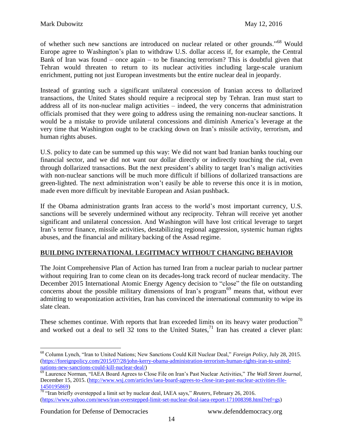of whether such new sanctions are introduced on nuclear related or other grounds."<sup>68</sup> Would Europe agree to Washington's plan to withdraw U.S. dollar access if, for example, the Central Bank of Iran was found – once again – to be financing terrorism? This is doubtful given that Tehran would threaten to return to its nuclear activities including large-scale uranium enrichment, putting not just European investments but the entire nuclear deal in jeopardy.

Instead of granting such a significant unilateral concession of Iranian access to dollarized transactions, the United States should require a reciprocal step by Tehran. Iran must start to address all of its non-nuclear malign activities – indeed, the very concerns that administration officials promised that they were going to address using the remaining non-nuclear sanctions. It would be a mistake to provide unilateral concessions and diminish America's leverage at the very time that Washington ought to be cracking down on Iran's missile activity, terrorism, and human rights abuses.

U.S. policy to date can be summed up this way: We did not want bad Iranian banks touching our financial sector, and we did not want our dollar directly or indirectly touching the rial, even through dollarized transactions. But the next president's ability to target Iran's malign activities with non-nuclear sanctions will be much more difficult if billions of dollarized transactions are green-lighted. The next administration won't easily be able to reverse this once it is in motion, made even more difficult by inevitable European and Asian pushback.

If the Obama administration grants Iran access to the world's most important currency, U.S. sanctions will be severely undermined without any reciprocity. Tehran will receive yet another significant and unilateral concession. And Washington will have lost critical leverage to target Iran's terror finance, missile activities, destabilizing regional aggression, systemic human rights abuses, and the financial and military backing of the Assad regime.

# **BUILDING INTERNATIONAL LEGITIMACY WITHOUT CHANGING BEHAVIOR**

The Joint Comprehensive Plan of Action has turned Iran from a nuclear pariah to nuclear partner without requiring Iran to come clean on its decades-long track record of nuclear mendacity. The December 2015 International Atomic Energy Agency decision to "close" the file on outstanding concerns about the possible military dimensions of Iran's program<sup>69</sup> means that, without ever admitting to weaponization activities, Iran has convinced the international community to wipe its slate clean.

These schemes continue. With reports that Iran exceeded limits on its heavy water production<sup>70</sup> and worked out a deal to sell  $3\overline{2}$  tons to the United States,<sup>71</sup> Iran has created a clever plan:

 $\overline{a}$ <sup>68</sup> Column Lynch, "Iran to United Nations; New Sanctions Could Kill Nuclear Deal," *Foreign Policy*, July 28, 2015. [\(https://foreignpolicy.com/2015/07/28/john-kerry-obama-administration-terrorism-human-rights-iran-to-united](https://foreignpolicy.com/2015/07/28/john-kerry-obama-administration-terrorism-human-rights-iran-to-united-nations-new-sanctions-could-kill-nuclear-deal/)[nations-new-sanctions-could-kill-nuclear-deal/\)](https://foreignpolicy.com/2015/07/28/john-kerry-obama-administration-terrorism-human-rights-iran-to-united-nations-new-sanctions-could-kill-nuclear-deal/)

<sup>69</sup> Laurence Norman, "IAEA Board Agrees to Close File on Iran's Past Nuclear Activities," *The Wall Street Journal*, December 15, 2015. [\(http://www.wsj.com/articles/iaea-board-agrees-to-close-iran-past-nuclear-activities-file-](http://www.wsj.com/articles/iaea-board-agrees-to-close-iran-past-nuclear-activities-file-1450195869)[1450195869\)](http://www.wsj.com/articles/iaea-board-agrees-to-close-iran-past-nuclear-activities-file-1450195869)

<sup>70</sup> "Iran briefly overstepped a limit set by nuclear deal, IAEA says," *Reuters*, February 26, 2016. [\(https://www.yahoo.com/news/iran-overstepped-limit-set-nuclear-deal-iaea-report-171008398.html?ref=gs\)](https://www.yahoo.com/news/iran-overstepped-limit-set-nuclear-deal-iaea-report-171008398.html?ref=gs)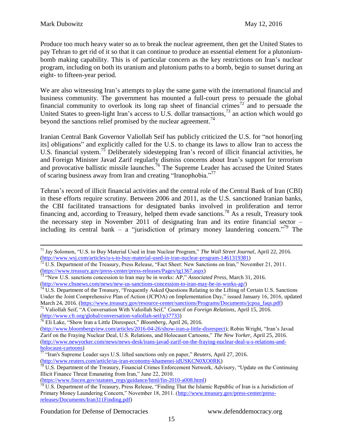Produce too much heavy water so as to break the nuclear agreement, then get the United States to pay Tehran to get rid of it so that it can continue to produce an essential element for a plutoniumbomb making capability. This is of particular concern as the key restrictions on Iran's nuclear program, including on both its uranium and plutonium paths to a bomb, begin to sunset during an eight- to fifteen-year period.

We are also witnessing Iran's attempts to play the same game with the international financial and business community. The government has mounted a full-court press to persuade the global financial community to overlook its long rap sheet of financial crimes<sup>72</sup> and to persuade the United States to green-light Iran's access to U.S. dollar transactions,  $^{73}$  an action which would go beyond the sanctions relief promised by the nuclear agreement.<sup>74</sup>

Iranian Central Bank Governor Valiollah Seif has publicly criticized the U.S. for "not honor[ing its] obligations" and explicitly called for the U.S. to change its laws to allow Iran to access the U.S. financial system.<sup>75</sup> Deliberately sidestepping Iran's record of illicit financial activities, he and Foreign Minister Javad Zarif regularly dismiss concerns about Iran's support for terrorism and provocative ballistic missile launches.<sup>76</sup> The Supreme Leader has accused the United States of scaring business away from Iran and creating "Iranophobia."<sup>77</sup>

Tehran's record of illicit financial activities and the central role of the Central Bank of Iran (CBI) in these efforts require scrutiny. Between 2006 and 2011, as the U.S. sanctioned Iranian banks, the CBI facilitated transactions for designated banks involved in proliferation and terror financing and, according to Treasury, helped them evade sanctions.<sup>78</sup> As a result, Treasury took the necessary step in November 2011 of designating Iran and its entire financial sector – including its central bank – a "jurisdiction of primary money laundering concern."<sup>79</sup> The

[\(http://www.cfr.org/global/conversation-valiollah-seif/p37733\)](http://www.cfr.org/global/conversation-valiollah-seif/p37733)

[\(https://www.fincen.gov/statutes\\_regs/guidance/html/fin-2010-a008.html\)](https://www.fincen.gov/statutes_regs/guidance/html/fin-2010-a008.html)

 $\overline{a}$ <sup>71</sup> Jay Solomon, "U.S. to Buy Material Used in Iran Nuclear Program," *The Wall Street Journal*, April 22, 2016. [\(http://www.wsj.com/articles/u-s-to-buy-material-used-in-iran-nuclear-program-1461319381\)](http://www.wsj.com/articles/u-s-to-buy-material-used-in-iran-nuclear-program-1461319381)

 $^{72}$  U.S. Department of the Treasury, Press Release, "Fact Sheet: New Sanctions on Iran," November 21, 2011. [\(https://www.treasury.gov/press-center/press-releases/Pages/tg1367.aspx\)](https://www.treasury.gov/press-center/press-releases/Pages/tg1367.aspx)

<sup>73</sup> "New U.S. sanctions concession to Iran may be in works: AP," *Associated Press*, March 31, 2016. [\(http://www.cbsnews.com/news/new-us-sanctions-concession-to-iran-may-be-in-works-ap/\)](http://www.cbsnews.com/news/new-us-sanctions-concession-to-iran-may-be-in-works-ap/)<br> $\frac{74 \text{ H.S.}}{74 \text{ H.S.}}$ 

<sup>74</sup> U.S. Department of the Treasury, "Frequently Asked Questions Relating to the Lifting of Certain U.S. Sanctions Under the Joint Comprehensive Plan of Action (JCPOA) on Implementation Day," issued January 16, 2016, updated March 24, 2016. [\(https://www.treasury.gov/resource-center/sanctions/Programs/Documents/jcpoa\\_faqs.pdf\)](https://www.treasury.gov/resource-center/sanctions/Programs/Documents/jcpoa_faqs.pdf) <sup>75</sup> Valiollah Seif, "A Conversation With Valiollah Seif," *Council on Foreign Relations*, April 15, 2016.

<sup>76</sup> Eli Lake, "Show Iran a Little Disrespect," *Bloomberg*, April 26, 2016.

[<sup>\(</sup>http://www.bloombergview.com/articles/2016-04-26/show-iran-a-little-disrespect\)](http://www.bloombergview.com/articles/2016-04-26/show-iran-a-little-disrespect); Robin Wright, "Iran's Javad Zarif on the Fraying Nuclear Deal, U.S. Relations, and Holocaust Cartoons," *The New Yorker*, April 25, 2016. [\(http://www.newyorker.com/news/news-desk/irans-javad-zarif-on-the-fraying-nuclear-deal-u-s-relations-and](http://www.newyorker.com/news/news-desk/irans-javad-zarif-on-the-fraying-nuclear-deal-u-s-relations-and-holocaust-cartoons)[holocaust-cartoons\)](http://www.newyorker.com/news/news-desk/irans-javad-zarif-on-the-fraying-nuclear-deal-u-s-relations-and-holocaust-cartoons)

<sup>77</sup> "Iran's Supreme Leader says U.S. lifted sanctions only on paper," *Reuters*, April 27, 2016. [\(http://www.reuters.com/article/us-iran-economy-khamenei-idUSKCN0XO0RK\)](http://www.reuters.com/article/us-iran-economy-khamenei-idUSKCN0XO0RK)

 $^{78}$  U.S. Department of the Treasury, Financial Crimes Enforcement Network, Advisory, "Update on the Continuing Illicit Finance Threat Emanating from Iran," June 22, 2010.

 $79 \text{ U.S. Department of the Treasury, Press Release, "Finding That the Islamic Republic of Iran is a Jurisdiction of the Treasury.}$ Primary Money Laundering Concern," November 18, 2011. [\(http://www.treasury.gov/press-center/press](http://www.treasury.gov/press-center/press-releases/Documents/Iran311Finding.pdf)[releases/Documents/Iran311Finding.pdf\)](http://www.treasury.gov/press-center/press-releases/Documents/Iran311Finding.pdf)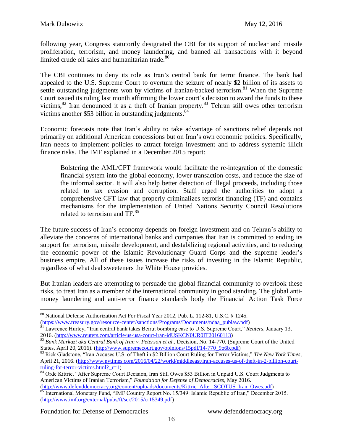following year, Congress statutorily designated the CBI for its support of nuclear and missile proliferation, terrorism, and money laundering, and banned all transactions with it beyond limited crude oil sales and humanitarian trade.<sup>80</sup>

The CBI continues to deny its role as Iran's central bank for terror finance. The bank had appealed to the U.S. Supreme Court to overturn the seizure of nearly \$2 billion of its assets to settle outstanding judgments won by victims of Iranian-backed terrorism.<sup>81</sup> When the Supreme Court issued its ruling last month affirming the lower court's decision to award the funds to these victims,<sup>82</sup> Iran denounced it as a theft of Iranian property.<sup>83</sup> Tehran still owes other terrorism victims another \$53 billion in outstanding judgments.<sup>84</sup>

Economic forecasts note that Iran's ability to take advantage of sanctions relief depends not primarily on additional American concessions but on Iran's own economic policies. Specifically, Iran needs to implement policies to attract foreign investment and to address systemic illicit finance risks. The IMF explained in a December 2015 report:

Bolstering the AML/CFT framework would facilitate the re-integration of the domestic financial system into the global economy, lower transaction costs, and reduce the size of the informal sector. It will also help better detection of illegal proceeds, including those related to tax evasion and corruption. Staff urged the authorities to adopt a comprehensive CFT law that properly criminalizes terrorist financing (TF) and contains mechanisms for the implementation of United Nations Security Council Resolutions related to terrorism and TF.<sup>85</sup>

The future success of Iran's economy depends on foreign investment and on Tehran's ability to alleviate the concerns of international banks and companies that Iran is committed to ending its support for terrorism, missile development, and destabilizing regional activities, and to reducing the economic power of the Islamic Revolutionary Guard Corps and the supreme leader's business empire. All of these issues increase the risks of investing in the Islamic Republic, regardless of what deal sweeteners the White House provides.

But Iranian leaders are attempting to persuade the global financial community to overlook these risks, to treat Iran as a member of the international community in good standing. The global antimoney laundering and anti-terror finance standards body the Financial Action Task Force

Foundation for Defense of Democracies www.defenddemocracy.org

<sup>80</sup> National Defense Authorization Act For Fiscal Year 2012, Pub. L. 112-81, U.S.C. § 1245.

[<sup>\(</sup>https://www.treasury.gov/resource-center/sanctions/Programs/Documents/ndaa\\_publaw.pdf\)](https://www.treasury.gov/resource-center/sanctions/Programs/Documents/ndaa_publaw.pdf)

<sup>81</sup> Lawrence Hurley, "Iran central bank takes Beirut bombing case to U.S. Supreme Court," *Reuters*, January 13, 2016. [\(http://www.reuters.com/article/us-usa-court-iran-idUSKCN0UR0IT20160113\)](http://www.reuters.com/article/us-usa-court-iran-idUSKCN0UR0IT20160113)

<sup>82</sup> *Bank Markazi aka Central Bank of Iran v. Peterson et al.*, Decision, No. 14-770, (Supreme Court of the United States, April 20, 2016). [\(http://www.supremecourt.gov/opinions/15pdf/14-770\\_9o6b.pdf\)](http://www.supremecourt.gov/opinions/15pdf/14-770_9o6b.pdf)

<sup>83</sup> Rick Gladstone, "Iran Accuses U.S. of Theft in \$2 Billion Court Ruling for Terror Victims," *The New York Times*, April 21, 2016. [\(http://www.nytimes.com/2016/04/22/world/middleeast/iran-accuses-us-of-theft-in-2-billion-court](http://www.nytimes.com/2016/04/22/world/middleeast/iran-accuses-us-of-theft-in-2-billion-court-ruling-for-terror-victims.html?_r=1)ruling-for-terror-victims.html?  $r=1$ )

<sup>&</sup>lt;sup>84</sup> Orde Kittrie, "After Supreme Court Decision, Iran Still Owes \$53 Billion in Unpaid U.S. Court Judgments to American Victims of Iranian Terrorism," *Foundation for Defense of Democracies*, May 2016.

[<sup>\(</sup>http://www.defenddemocracy.org/content/uploads/documents/Kittrie\\_After\\_SCOTUS\\_Iran\\_Owes.pdf\)](http://www.defenddemocracy.org/content/uploads/documents/Kittrie_After_SCOTUS_Iran_Owes.pdf) 85 International Monetary Fund, "IMF Country Report No. 15/349: Islamic Republic of Iran," December 2015. [\(http://www.imf.org/external/pubs/ft/scr/2015/cr15349.pdf\)](http://www.imf.org/external/pubs/ft/scr/2015/cr15349.pdf)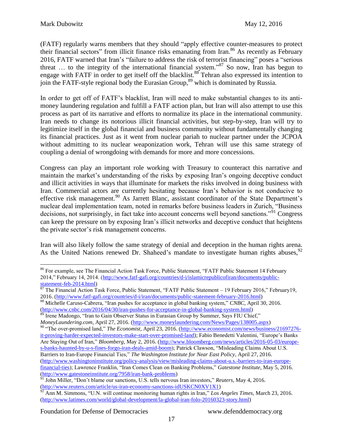(FATF) regularly warns members that they should "apply effective counter-measures to protect their financial sectors" from illicit finance risks emanating from Iran.<sup>86</sup> As recently as February 2016, FATF warned that Iran's "failure to address the risk of terrorist financing" poses a "serious threat … to the integrity of the international financial system."<sup>87</sup> So now, Iran has begun to engage with FATF in order to get itself off the blacklist.<sup>88</sup> Tehran also expressed its intention to join the FATF-style regional body the Eurasian Group,<sup>89</sup> which is dominated by Russia.

In order to get off of FATF's blacklist, Iran will need to make substantial changes to its antimoney laundering regulation and fulfill a FATF action plan, but Iran will also attempt to use this process as part of its narrative and efforts to normalize its place in the international community. Iran needs to change its notorious illicit financial activities, but step-by-step, Iran will try to legitimize itself in the global financial and business community without fundamentally changing its financial practices. Just as it went from nuclear pariah to nuclear partner under the JCPOA without admitting to its nuclear weaponization work, Tehran will use this same strategy of coupling a denial of wrongdoing with demands for more and more concessions.

Congress can play an important role working with Treasury to counteract this narrative and maintain the market's understanding of the risks by exposing Iran's ongoing deceptive conduct and illicit activities in ways that illuminate for markets the risks involved in doing business with Iran. Commercial actors are currently hesitating because Iran's behavior is not conducive to effective risk management.<sup>90</sup> As Jarrett Blanc, assistant coordinator of the State Department's nuclear deal implementation team, noted in remarks before business leaders in Zurich, "Business decisions, not surprisingly, in fact take into account concerns well beyond sanctions."<sup>91</sup> Congress can keep the pressure on by exposing Iran's illicit networks and deceptive conduct that heightens the private sector's risk management concerns.

Iran will also likely follow the same strategy of denial and deception in the human rights arena. As the United Nations renewed Dr. Shaheed's mandate to investigate human rights abuses, <sup>92</sup>

 $\overline{a}$ <sup>86</sup> For example, see The Financial Action Task Force, Public Statement, "FATF Public Statement 14 February 2014," February 14, 2014. [\(http://www.fatf-gafi.org/countries/d-i/islamicrepublicofiran/documents/public](http://www.fatf-gafi.org/countries/d-i/islamicrepublicofiran/documents/public-statement-feb-2014.html)[statement-feb-2014.html\)](http://www.fatf-gafi.org/countries/d-i/islamicrepublicofiran/documents/public-statement-feb-2014.html)

 $87$  The Financial Action Task Force, Public Statement, "FATF Public Statement – 19 February 2016," February 19, 2016. [\(http://www.fatf-gafi.org/countries/d-i/iran/documents/public-statement-february-2016.html\)](http://www.fatf-gafi.org/countries/d-i/iran/documents/public-statement-february-2016.html)

<sup>88</sup> Michelle Caruso-Cabrera, "Iran pushes for acceptance in global banking system," *CNBC*, April 30, 2016. [\(http://www.cnbc.com/2016/04/30/iran-pushes-for-acceptance-in-global-banking-system.html\)](http://www.cnbc.com/2016/04/30/iran-pushes-for-acceptance-in-global-banking-system.html)

<sup>&</sup>lt;sup>89</sup> Irene Madongo, "Iran to Gain Observer Status in Eurasian Group by Summer, Says FIU Chief,"

*MoneyLaundering.com*, April 27, 2016. [\(http://www.moneylaundering.com/News/Pages/138005.aspx\)](http://www.moneylaundering.com/News/Pages/138005.aspx) <sup>90</sup> "The over-promised land," *The Economist*, April 23, 2016. [\(http://www.economist.com/news/business/21697276](http://www.economist.com/news/business/21697276-it-proving-harder-expected-investors-make-start-over-promised-land) [it-proving-harder-expected-investors-make-start-over-promised-land\)](http://www.economist.com/news/business/21697276-it-proving-harder-expected-investors-make-start-over-promised-land); Fabio Benedetti Valentini, "Europe's Banks Are Staying Out of Iran," *Bloomberg*, May 2, 2016. [\(http://www.bloomberg.com/news/articles/2016-05-03/europe](http://www.bloomberg.com/news/articles/2016-05-03/europe-s-banks-haunted-by-u-s-fines-forgo-iran-deals-amid-boom)[s-banks-haunted-by-u-s-fines-forgo-iran-deals-amid-boom\)](http://www.bloomberg.com/news/articles/2016-05-03/europe-s-banks-haunted-by-u-s-fines-forgo-iran-deals-amid-boom); Patrick Clawson, "Misleading Claims About U.S. Barriers to Iran-Europe Financial Ties," *The Washington Institute for Near East Policy*, April 27, 2016. [\(http://www.washingtoninstitute.org/policy-analysis/view/misleading-claims-about-u.s.-barriers-to-iran-europe](http://www.washingtoninstitute.org/policy-analysis/view/misleading-claims-about-u.s.-barriers-to-iran-europe-financial-ties)[financial-ties\)](http://www.washingtoninstitute.org/policy-analysis/view/misleading-claims-about-u.s.-barriers-to-iran-europe-financial-ties); Lawrence Franklin, "Iran Comes Clean on Banking Problems," *Gatestone Institute*, May 5, 2016. [\(http://www.gatestoneinstitute.org/7958/iran-bank-problems\)](http://www.gatestoneinstitute.org/7958/iran-bank-problems)

<sup>91</sup> John Miller, "Don't blame our sanctions, U.S. tells nervous Iran investors," *Reuters*, May 4, 2016. [\(http://www.reuters.com/article/us-iran-economy-sanctions-idUSKCN0XV1X1\)](http://www.reuters.com/article/us-iran-economy-sanctions-idUSKCN0XV1X1)

<sup>92</sup> Ann M. Simmons, "U.N. will continue monitoring human rights in Iran," *Los Angeles Times*, March 23, 2016. [\(http://www.latimes.com/world/global-development/la-global-iran-folo-20160323-story.html\)](http://www.latimes.com/world/global-development/la-global-iran-folo-20160323-story.html)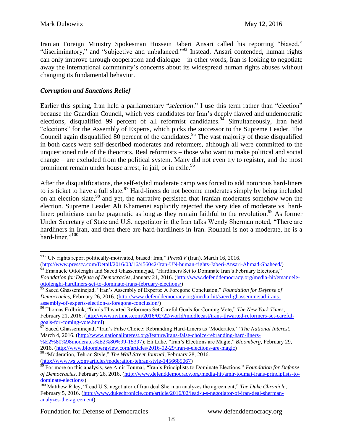Iranian Foreign Ministry Spokesman Hossein Jaberi Ansari called his reporting "biased," "discriminatory," and "subjective and unbalanced."<sup>93</sup> Instead, Ansari contended, human rights can only improve through cooperation and dialogue – in other words, Iran is looking to negotiate away the international community's concerns about its widespread human rights abuses without changing its fundamental behavior.

### *Corruption and Sanctions Relief*

Earlier this spring, Iran held a parliamentary "*selection*." I use this term rather than "election" because the Guardian Council, which vets candidates for Iran's deeply flawed and undemocratic elections, disqualified 99 percent of all reformist candidates.<sup>94</sup> Simultaneously, Iran held "elections" for the Assembly of Experts, which picks the successor to the Supreme Leader. The Council again disqualified 80 percent of the candidates.<sup>95</sup> The vast majority of those disqualified in both cases were self-described moderates and reformers, although all were committed to the unquestioned rule of the theocrats. Real reformists – those who want to make political and social change – are excluded from the political system. Many did not even try to register, and the most prominent remain under house arrest, in jail, or in exile.<sup>96</sup>

After the disqualifications, the self-styled moderate camp was forced to add notorious hard-liners to its ticket to have a full slate.<sup>97</sup> Hard-liners do not become moderates simply by being included on an election slate,  $98$  and yet, the narrative persisted that Iranian moderates somehow won the election. Supreme Leader Ali Khamenei explicitly rejected the very idea of moderate vs. hardliner: politicians can be pragmatic as long as they remain faithful to the revolution.<sup>99</sup> As former Under Secretary of State and U.S. negotiator in the Iran talks Wendy Sherman noted, "There are hardliners in Iran, and then there are hard-hardliners in Iran. Rouhani is not a moderate, he is a hard-liner." $100$ 

 $\overline{a}$ <sup>93</sup> "UN rights report politically-motivated, biased: Iran," *PressTV* (Iran), March 16, 2016. [\(http://www.presstv.com/Detail/2016/03/16/456042/Iran-UN-human-rights-Jaberi-Ansari-Ahmad-Shaheed/\)](http://www.presstv.com/Detail/2016/03/16/456042/Iran-UN-human-rights-Jaberi-Ansari-Ahmad-Shaheed/)

 $^{94}$  Emanuele Ottolenghi and Saeed Ghasseminejad, "Hardliners Set to Dominate Iran's February Elections," *Foundation for Defense of Democracies*, January 21, 2016. [\(http://www.defenddemocracy.org/media-hit/emanuele](http://www.defenddemocracy.org/media-hit/emanuele-ottolenghi-hardliners-set-to-dominate-irans-february-elections/)[ottolenghi-hardliners-set-to-dominate-irans-february-elections/\)](http://www.defenddemocracy.org/media-hit/emanuele-ottolenghi-hardliners-set-to-dominate-irans-february-elections/)

<sup>95</sup> Saeed Ghasseminejad, "Iran's Assembly of Experts: A Foregone Conclusion," *Foundation for Defense of Democracies*, February 26, 2016. [\(http://www.defenddemocracy.org/media-hit/saeed-ghasseminejad-irans](http://www.defenddemocracy.org/media-hit/saeed-ghasseminejad-irans-assembly-of-experts-election-a-foregone-conclusion/)[assembly-of-experts-election-a-foregone-conclusion/\)](http://www.defenddemocracy.org/media-hit/saeed-ghasseminejad-irans-assembly-of-experts-election-a-foregone-conclusion/)

<sup>96</sup> Thomas Erdbrink, "Iran's Thwarted Reformers Set Careful Goals for Coming Vote," *The New York Times*, February 21, 2016. [\(http://www.nytimes.com/2016/02/22/world/middleeast/irans-thwarted-reformers-set-careful](http://www.nytimes.com/2016/02/22/world/middleeast/irans-thwarted-reformers-set-careful-goals-for-coming-vote.html)[goals-for-coming-vote.html\)](http://www.nytimes.com/2016/02/22/world/middleeast/irans-thwarted-reformers-set-careful-goals-for-coming-vote.html)

<sup>97</sup> Saeed Ghasseminejad, "Iran's False Choice: Rebranding Hard-Liners as 'Moderates,'" *The National Interest*, March 4, 2016. [\(http://www.nationalinterest.org/feature/irans-false-choice-rebranding-hard-liners-](http://www.nationalinterest.org/feature/irans-false-choice-rebranding-hard-liners-%E2%80%98moderates%E2%80%99-15397)

[<sup>%</sup>E2%80%98moderates%E2%80%99-15397\)](http://www.nationalinterest.org/feature/irans-false-choice-rebranding-hard-liners-%E2%80%98moderates%E2%80%99-15397); Eli Lake, "Iran's Elections are Magic," *Bloomberg*, February 29, 2016. [\(http://www.bloombergview.com/articles/2016-02-29/iran-s-elections-are-magic\)](http://www.bloombergview.com/articles/2016-02-29/iran-s-elections-are-magic)

<sup>98</sup> "Moderation, Tehran Style," *The Wall Street Journal*, February 28, 2016. [\(http://www.wsj.com/articles/moderation-tehran-style-1456689067\)](http://www.wsj.com/articles/moderation-tehran-style-1456689067)

<sup>99</sup> For more on this analysis, see Amir Toumaj, "Iran's Principlists to Dominate Elections," *Foundation for Defense of Democracies*, February 26, 2016. [\(http://www.defenddemocracy.org/media-hit/amir-toumaj-irans-principlists-to](http://www.defenddemocracy.org/media-hit/amir-toumaj-irans-principlists-to-dominate-elections/)[dominate-elections/\)](http://www.defenddemocracy.org/media-hit/amir-toumaj-irans-principlists-to-dominate-elections/)

<sup>100</sup> Matthew Riley, "Lead U.S. negotiator of Iran deal Sherman analyzes the agreement," *The Duke Chronicle*, February 5, 2016. [\(http://www.dukechronicle.com/article/2016/02/lead-u-s-negotiator-of-iran-deal-sherman](http://www.dukechronicle.com/article/2016/02/lead-u-s-negotiator-of-iran-deal-sherman-analyzes-the-agreement)[analyzes-the-agreement\)](http://www.dukechronicle.com/article/2016/02/lead-u-s-negotiator-of-iran-deal-sherman-analyzes-the-agreement)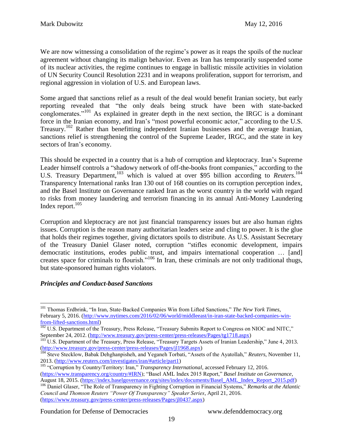We are now witnessing a consolidation of the regime's power as it reaps the spoils of the nuclear agreement without changing its malign behavior. Even as Iran has temporarily suspended some of its nuclear activities, the regime continues to engage in ballistic missile activities in violation of UN Security Council Resolution 2231 and in weapons proliferation, support for terrorism, and regional aggression in violation of U.S. and European laws.

Some argued that sanctions relief as a result of the deal would benefit Iranian society, but early reporting revealed that "the only deals being struck have been with state-backed conglomerates."<sup>101</sup> As explained in greater depth in the next section, the IRGC is a dominant force in the Iranian economy, and Iran's "most powerful economic actor," according to the U.S. Treasury.<sup>102</sup> Rather than benefitting independent Iranian businesses and the average Iranian, sanctions relief is strengthening the control of the Supreme Leader, IRGC, and the state in key sectors of Iran's economy.

This should be expected in a country that is a hub of corruption and kleptocracy. Iran's Supreme Leader himself controls a "shadowy network of off-the-books front companies," according to the U.S. Treasury Department, <sup>103</sup> which is valued at over \$95 billion according to *Reuters*. 104 Transparency International ranks Iran 130 out of 168 counties on its corruption perception index, and the Basel Institute on Governance ranked Iran as the worst country in the world with regard to risks from money laundering and terrorism financing in its annual Anti-Money Laundering Index report. $105$ 

Corruption and kleptocracy are not just financial transparency issues but are also human rights issues. Corruption is the reason many authoritarian leaders seize and cling to power. It is the glue that holds their regimes together, giving dictators spoils to distribute. As U.S. Assistant Secretary of the Treasury Daniel Glaser noted, corruption "stifles economic development, impairs democratic institutions, erodes public trust, and impairs international cooperation … [and] creates space for criminals to flourish."<sup>106</sup> In Iran, these criminals are not only traditional thugs, but state-sponsored human rights violators.

# *Principles and Conduct-based Sanctions*

 $\overline{a}$ <sup>101</sup> Thomas Erdbrink, "In Iran, State-Backed Companies Win from Lifted Sanctions," *The New York Times*, February 5, 2016. [\(http://www.nytimes.com/2016/02/06/world/middleeast/in-iran-state-backed-companies-win](http://www.nytimes.com/2016/02/06/world/middleeast/in-iran-state-backed-companies-win-from-lifted-sanctions.html)[from-lifted-sanctions.html\)](http://www.nytimes.com/2016/02/06/world/middleeast/in-iran-state-backed-companies-win-from-lifted-sanctions.html)

<sup>&</sup>lt;sup>102</sup> U.S. Department of the Treasury, Press Release, "Treasury Submits Report to Congress on NIOC and NITC," September 24, 2012. [\(http://www.treasury.gov/press-center/press-releases/Pages/tg1718.aspx\)](http://www.treasury.gov/press-center/press-releases/Pages/tg1718.aspx)

<sup>&</sup>lt;sup>103</sup> U.S. Department of the Treasury, Press Release, "Treasury Targets Assets of Iranian Leadership," June 4, 2013. [\(http://www.treasury.gov/press-center/press-releases/Pages/jl1968.aspx\)](http://www.treasury.gov/press-center/press-releases/Pages/jl1968.aspx)

<sup>&</sup>lt;sup>104</sup> Steve Stecklow, Babak Dehghanpisheh, and Yeganeh Torbati, "Assets of the Ayatollah," *Reuters*, November 11, 2013. [\(http://www.reuters.com/investigates/iran/#article/part1\)](http://www.reuters.com/investigates/iran/#article/part1)

<sup>&</sup>lt;sup>105</sup> "Corruption by Country/Territory: Iran," *Transparency International*, accessed February 12, 2016.

[<sup>\(</sup>https://www.transparency.org/country/#IRN\)](https://www.transparency.org/country/#IRN); "Basel AML Index 2015 Report," *Basel Institute on Governance*, August 18, 2015. [\(https://index.baselgovernance.org/sites/index/documents/Basel\\_AML\\_Index\\_Report\\_2015.pdf\)](https://index.baselgovernance.org/sites/index/documents/Basel_AML_Index_Report_2015.pdf)

<sup>106</sup> Daniel Glaser, "The Role of Transparency in Fighting Corruption in Financial Systems," *Remarks at the Atlantic Council and Thomson Reuters "Power Of Transparency" Speaker Series*, April 21, 2016. [\(https://www.treasury.gov/press-center/press-releases/Pages/jl0437.aspx\)](https://www.treasury.gov/press-center/press-releases/Pages/jl0437.aspx)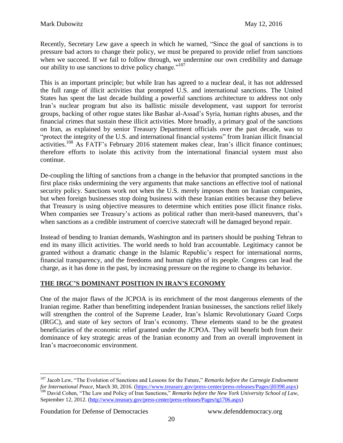Recently, Secretary Lew gave a speech in which he warned, "Since the goal of sanctions is to pressure bad actors to change their policy, we must be prepared to provide relief from sanctions when we succeed. If we fail to follow through, we undermine our own credibility and damage our ability to use sanctions to drive policy change."<sup>107</sup>

This is an important principle; but while Iran has agreed to a nuclear deal, it has not addressed the full range of illicit activities that prompted U.S. and international sanctions. The United States has spent the last decade building a powerful sanctions architecture to address not only Iran's nuclear program but also its ballistic missile development, vast support for terrorist groups, backing of other rogue states like Bashar al-Assad's Syria, human rights abuses, and the financial crimes that sustain these illicit activities. More broadly, a primary goal of the sanctions on Iran, as explained by senior Treasury Department officials over the past decade, was to "protect the integrity of the U.S. and international financial systems" from Iranian illicit financial activities.<sup>108</sup> As FATF's February 2016 statement makes clear, Iran's illicit finance continues; therefore efforts to isolate this activity from the international financial system must also continue.

De-coupling the lifting of sanctions from a change in the behavior that prompted sanctions in the first place risks undermining the very arguments that make sanctions an effective tool of national security policy. Sanctions work not when the U.S. merely imposes them on Iranian companies, but when foreign businesses stop doing business with these Iranian entities because they believe that Treasury is using objective measures to determine which entities pose illicit finance risks. When companies see Treasury's actions as political rather than merit-based maneuvers, that's when sanctions as a credible instrument of coercive statecraft will be damaged beyond repair.

Instead of bending to Iranian demands, Washington and its partners should be pushing Tehran to end its many illicit activities. The world needs to hold Iran accountable. Legitimacy cannot be granted without a dramatic change in the Islamic Republic's respect for international norms, financial transparency, and the freedoms and human rights of its people. Congress can lead the charge, as it has done in the past, by increasing pressure on the regime to change its behavior.

# **THE IRGC'S DOMINANT POSITION IN IRAN'S ECONOMY**

One of the major flaws of the JCPOA is its enrichment of the most dangerous elements of the Iranian regime. Rather than benefitting independent Iranian businesses, the sanctions relief likely will strengthen the control of the Supreme Leader, Iran's Islamic Revolutionary Guard Corps (IRGC), and state of key sectors of Iran's economy. These elements stand to be the greatest beneficiaries of the economic relief granted under the JCPOA. They will benefit both from their dominance of key strategic areas of the Iranian economy and from an overall improvement in Iran's macroeconomic environment.

Foundation for Defense of Democracies www.defenddemocracy.org

<sup>107</sup> Jacob Lew, "The Evolution of Sanctions and Lessons for the Future," *Remarks before the Carnegie Endowment for International Peace*, March 30, 2016. [\(https://www.treasury.gov/press-center/press-releases/Pages/jl0398.aspx\)](https://www.treasury.gov/press-center/press-releases/Pages/jl0398.aspx) <sup>108</sup> David Cohen, "The Law and Policy of Iran Sanctions," *Remarks before the New York University School of Law*, September 12, 2012. [\(http://www.treasury.gov/press-center/press-releases/Pages/tg1706.aspx\)](http://www.treasury.gov/press-center/press-releases/Pages/tg1706.aspx)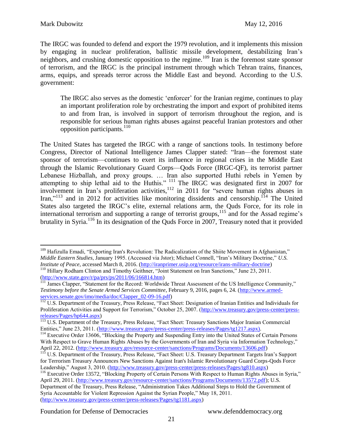The IRGC was founded to defend and export the 1979 revolution, and it implements this mission by engaging in nuclear proliferation, ballistic missile development, destabilizing Iran's neighbors, and crushing domestic opposition to the regime.<sup>109</sup> Iran is the foremost state sponsor of terrorism, and the IRGC is the principal instrument through which Tehran trains, finances, arms, equips, and spreads terror across the Middle East and beyond. According to the U.S. government:

The IRGC also serves as the domestic 'enforcer' for the Iranian regime, continues to play an important proliferation role by orchestrating the import and export of prohibited items to and from Iran, is involved in support of terrorism throughout the region, and is responsible for serious human rights abuses against peaceful Iranian protestors and other opposition participants. $110$ 

The United States has targeted the IRGC with a range of sanctions tools. In testimony before Congress, Director of National Intelligence James Clapper stated: "Iran—the foremost state sponsor of terrorism—continues to exert its influence in regional crises in the Middle East through the Islamic Revolutionary Guard Corps—Qods Force (IRGC-QF), its terrorist partner Lebanese Hizballah, and proxy groups. … Iran also supported Huthi rebels in Yemen by attempting to ship lethal aid to the Huthis."  $^{111}$  The IRGC was designated first in 2007 for involvement in Iran's proliferation activities, <sup>112</sup> in 2011 for "severe human rights abuses in Iran," $113$  and in 2012 for activities like monitoring dissidents and censorship.<sup>114</sup> The United States also targeted the IRGC's elite, external relations arm, the Quds Force, for its role in international terrorism and supporting a range of terrorist groups, $115$  and for the Assad regime's brutality in Syria.<sup>116</sup> In its designation of the Quds Force in 2007, Treasury noted that it provided

 $\overline{a}$ <sup>109</sup> Hafizulla Emadi, "Exporting Iran's Revolution: The Radicalization of the Shiite Movement in Afghanistan," *Middle Eastern Studies*, January 1995. (Accessed via Jstor); Michael Connell, "Iran's Military Doctrine," *U.S. Institute of Peace*, accessed March 8, 2016. [\(http://iranprimer.usip.org/resource/irans-military-doctrine\)](http://iranprimer.usip.org/resource/irans-military-doctrine) <sup>110</sup> Hillary Rodham Clinton and Timothy Geithner, "Joint Statement on Iran Sanctions," June 23, 2011.

[<sup>\(</sup>http://www.state.gov/r/pa/prs/ps/2011/06/166814.htm\)](http://www.state.gov/r/pa/prs/ps/2011/06/166814.htm)

<sup>&</sup>lt;sup>111</sup> James Clapper, "Statement for the Record: Worldwide Threat Assessment of the US Intelligence Community," *Testimony before the Senate Armed Services Committee*, February 9, 2016, pages 6, 24. [\(http://www.armed](http://www.armed-services.senate.gov/imo/media/doc/Clapper_02-09-16.pdf)[services.senate.gov/imo/media/doc/Clapper\\_02-09-16.pdf\)](http://www.armed-services.senate.gov/imo/media/doc/Clapper_02-09-16.pdf)

<sup>&</sup>lt;sup>112</sup> U.S. Department of the Treasury, Press Release, "Fact Sheet: Designation of Iranian Entities and Individuals for Proliferation Activities and Support for Terrorism," October 25, 2007. [\(http://www.treasury.gov/press-center/press](http://www.treasury.gov/press-center/press-releases/Pages/hp644.aspx)[releases/Pages/hp644.aspx\)](http://www.treasury.gov/press-center/press-releases/Pages/hp644.aspx)

<sup>&</sup>lt;sup>113</sup> U.S. Department of the Treasury, Press Release, "Fact Sheet: Treasury Sanctions Major Iranian Commercial Entities," June 23, 2011. [\(http://www.treasury.gov/press-center/press-releases/Pages/tg1217.aspx\)](http://www.treasury.gov/press-center/press-releases/Pages/tg1217.aspx).

<sup>&</sup>lt;sup>114</sup> Executive Order 13606, "Blocking the Property and Suspending Entry into the United States of Certain Persons With Respect to Grave Human Rights Abuses by the Governments of Iran and Syria via Information Technology," April 22, 2012. [\(http://www.treasury.gov/resource-center/sanctions/Programs/Documents/13606.pdf\)](http://www.treasury.gov/resource-center/sanctions/Programs/Documents/13606.pdf)

<sup>&</sup>lt;sup>115</sup> U.S. Department of the Treasury, Press Release, "Fact Sheet: U.S. Treasury Department Targets Iran's Support for Terrorism Treasury Announces New Sanctions Against Iran's Islamic Revolutionary Guard Corps-Qods Force Leadership," August 3, 2010. [\(http://www.treasury.gov/press-center/press-releases/Pages/tg810.aspx\)](http://www.treasury.gov/press-center/press-releases/Pages/tg810.aspx)

<sup>116</sup> Executive Order 13572, "Blocking Property of Certain Persons With Respect to Human Rights Abuses in Syria," April 29, 2011. [\(http://www.treasury.gov/resource-center/sanctions/Programs/Documents/13572.pdf\)](http://www.treasury.gov/resource-center/sanctions/Programs/Documents/13572.pdf); U.S. Department of the Treasury, Press Release, "Administration Takes Additional Steps to Hold the Government of Syria Accountable for Violent Repression Against the Syrian People," May 18, 2011. [\(http://www.treasury.gov/press-center/press-releases/Pages/tg1181.aspx\)](http://www.treasury.gov/press-center/press-releases/Pages/tg1181.aspx)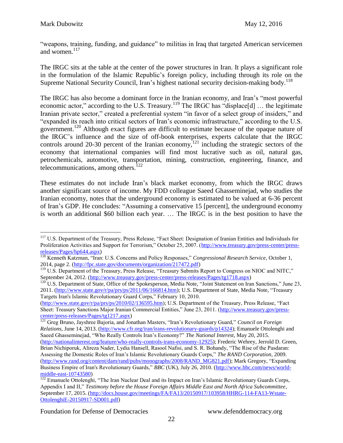"weapons, training, funding, and guidance" to militias in Iraq that targeted American servicemen and women.<sup>117</sup>

The IRGC sits at the table at the center of the power structures in Iran. It plays a significant role in the formulation of the Islamic Republic's foreign policy, including through its role on the Supreme National Security Council, Iran's highest national security decision-making body.<sup>118</sup>

The IRGC has also become a dominant force in the Iranian economy, and Iran's "most powerful economic actor," according to the U.S. Treasury.<sup>119</sup> The IRGC has "displace[d] ... the legitimate Iranian private sector," created a preferential system "in favor of a select group of insiders," and "expanded its reach into critical sectors of Iran's economic infrastructure," according to the U.S. government.<sup>120</sup> Although exact figures are difficult to estimate because of the opaque nature of the IRGC's influence and the size of off-book enterprises, experts calculate that the IRGC controls around 20-30 percent of the Iranian economy,  $^{121}$  including the strategic sectors of the economy that international companies will find most lucrative such as oil, natural gas, petrochemicals, automotive, transportation, mining, construction, engineering, finance, and telecommunications, among others.<sup>122</sup>

These estimates do not include Iran's black market economy, from which the IRGC draws another significant source of income. My FDD colleague Saeed Ghasseminejad, who studies the Iranian economy, notes that the underground economy is estimated to be valued at 6-36 percent of Iran's GDP. He concludes: "Assuming a conservative 15 [percent], the underground economy is worth an additional \$60 billion each year. … The IRGC is in the best position to have the

<sup>&</sup>lt;sup>117</sup> U.S. Department of the Treasury, Press Release, "Fact Sheet: Designation of Iranian Entities and Individuals for Proliferation Activities and Support for Terrorism," October 25, 2007. [\(http://www.treasury.gov/press-center/press](http://www.treasury.gov/press-center/press-releases/Pages/hp644.aspx)[releases/Pages/hp644.aspx\)](http://www.treasury.gov/press-center/press-releases/Pages/hp644.aspx)

<sup>118</sup> Kenneth Katzman, "Iran: U.S. Concerns and Policy Responses," *Congressional Research Service*, October 1, 2014, page 2. [\(http://fpc.state.gov/documents/organization/217472.pdf\)](http://fpc.state.gov/documents/organization/217472.pdf)

<sup>&</sup>lt;sup>119</sup> U.S. Department of the Treasury, Press Release, "Treasury Submits Report to Congress on NIOC and NITC," September 24, 2012. [\(http://www.treasury.gov/press-center/press-releases/Pages/tg1718.aspx\)](http://www.treasury.gov/press-center/press-releases/Pages/tg1718.aspx)

<sup>&</sup>lt;sup>120</sup> U.S. Department of State, Office of the Spokesperson, Media Note, "Joint Statement on Iran Sanctions," June 23, 2011. [\(http://www.state.gov/r/pa/prs/ps/2011/06/166814.htm\)](http://www.state.gov/r/pa/prs/ps/2011/06/166814.htm); U.S. Department of State, Media Note, "Treasury Targets Iran's Islamic Revolutionary Guard Corps," February 10, 2010.

[<sup>\(</sup>http://www.state.gov/r/pa/prs/ps/2010/02/136595.htm\)](http://www.state.gov/r/pa/prs/ps/2010/02/136595.htm); U.S. Department of the Treasury, Press Release, "Fact Sheet: Treasury Sanctions Major Iranian Commercial Entities," June 23, 2011. [\(http://www.treasury.gov/press](http://www.treasury.gov/press-center/press-releases/Pages/tg1217.aspx)[center/press-releases/Pages/tg1217.aspx\)](http://www.treasury.gov/press-center/press-releases/Pages/tg1217.aspx)

<sup>121</sup> Greg Bruno, Jayshree Bajoria, and Jonathan Masters, "Iran's Revolutionary Guard," *Council on Foreign Relations*, June 14, 2013. [\(http://www.cfr.org/iran/irans-revolutionary-guards/p14324\)](http://www.cfr.org/iran/irans-revolutionary-guards/p14324); Emanuele Ottolenghi and Saeed Ghasseminejad, "Who Really Controls Iran's Economy?" *The National Interest*, May 20, 2015. [\(http://nationalinterest.org/feature/who-really-controls-irans-economy-12925\)](http://nationalinterest.org/feature/who-really-controls-irans-economy-12925); Frederic Wehrey, Jerrold D. Green, Brian Nichiporuk, Alireza Nader, Lydia Hansell, Rasool Nafisi, and S. R. Bohandy, "The Rise of the Pasdaran: Assessing the Domestic Roles of Iran's Islamic Revolutionary Guards Corps," *The RAND Corporation*, 2009. [\(http://www.rand.org/content/dam/rand/pubs/monographs/2008/RAND\\_MG821.pdf\)](http://www.rand.org/content/dam/rand/pubs/monographs/2008/RAND_MG821.pdf); Mark Gregory, "Expanding Business Empire of Iran's Revolutionary Guards," *BBC* (UK), July 26, 2010. [\(http://www.bbc.com/news/world](http://www.bbc.com/news/world-middle-east-10743580)[middle-east-10743580\)](http://www.bbc.com/news/world-middle-east-10743580)

<sup>&</sup>lt;sup>122</sup> Emanuele Ottolenghi, "The Iran Nuclear Deal and its Impact on Iran's Islamic Revolutionary Guards Corps, Appendix I and II," *Testimony before the House Foreign Affairs Middle East and North Africa Subcommittee*, September 17, 2015. [\(http://docs.house.gov/meetings/FA/FA13/20150917/103958/HHRG-114-FA13-Wstate-](http://docs.house.gov/meetings/FA/FA13/20150917/103958/HHRG-114-FA13-Wstate-OttolenghiE-20150917-SD001.pdf)[OttolenghiE-20150917-SD001.pdf\)](http://docs.house.gov/meetings/FA/FA13/20150917/103958/HHRG-114-FA13-Wstate-OttolenghiE-20150917-SD001.pdf)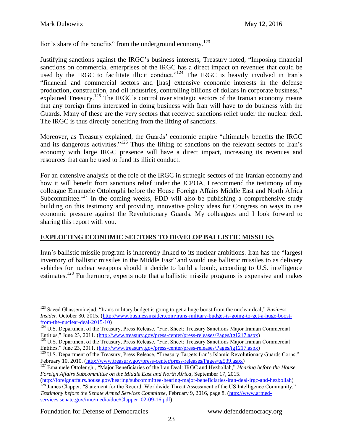lion's share of the benefits" from the underground economy.<sup>123</sup>

Justifying sanctions against the IRGC's business interests, Treasury noted, "Imposing financial sanctions on commercial enterprises of the IRGC has a direct impact on revenues that could be used by the IRGC to facilitate illicit conduct." $124$  The IRGC is heavily involved in Iran's "financial and commercial sectors and [has] extensive economic interests in the defense production, construction, and oil industries, controlling billions of dollars in corporate business," explained Treasury.<sup>125</sup> The IRGC's control over strategic sectors of the Iranian economy means that any foreign firms interested in doing business with Iran will have to do business with the Guards. Many of these are the very sectors that received sanctions relief under the nuclear deal. The IRGC is thus directly benefiting from the lifting of sanctions.

Moreover, as Treasury explained, the Guards' economic empire "ultimately benefits the IRGC and its dangerous activities."<sup>126</sup> Thus the lifting of sanctions on the relevant sectors of Iran's economy with large IRGC presence will have a direct impact, increasing its revenues and resources that can be used to fund its illicit conduct.

For an extensive analysis of the role of the IRGC in strategic sectors of the Iranian economy and how it will benefit from sanctions relief under the JCPOA, I recommend the testimony of my colleague Emanuele Ottolenghi before the House Foreign Affairs Middle East and North Africa Subcommittee.<sup>127</sup> In the coming weeks, FDD will also be publishing a comprehensive study building on this testimony and providing innovative policy ideas for Congress on ways to use economic pressure against the Revolutionary Guards. My colleagues and I look forward to sharing this report with you.

# **EXPLOITING ECONOMIC SECTORS TO DEVELOP BALLISTIC MISSILES**

Iran's ballistic missile program is inherently linked to its nuclear ambitions. Iran has the "largest inventory of ballistic missiles in the Middle East" and would use ballistic missiles to as delivery vehicles for nuclear weapons should it decide to build a bomb, according to U.S. intelligence estimates.<sup>128</sup> Furthermore, experts note that a ballistic missile programs is expensive and makes

Foundation for Defense of Democracies www.defenddemocracy.org

<sup>123</sup> Saeed Ghasseminejad, "Iran's military budget is going to get a huge boost from the nuclear deal," *Business Insider*, October 30, 2015. [\(http://www.businessinsider.com/irans-military-budget-is-going-to-get-a-huge-boost](http://www.businessinsider.com/irans-military-budget-is-going-to-get-a-huge-boost-from-the-nuclear-deal-2015-10)[from-the-nuclear-deal-2015-10\)](http://www.businessinsider.com/irans-military-budget-is-going-to-get-a-huge-boost-from-the-nuclear-deal-2015-10)

<sup>&</sup>lt;sup>124</sup> U.S. Department of the Treasury, Press Release, "Fact Sheet: Treasury Sanctions Major Iranian Commercial Entities," June 23, 2011. [\(http://www.treasury.gov/press-center/press-releases/Pages/tg1217.aspx\)](http://www.treasury.gov/press-center/press-releases/Pages/tg1217.aspx)

<sup>&</sup>lt;sup>125</sup> U.S. Department of the Treasury, Press Release, "Fact Sheet: Treasury Sanctions Major Iranian Commercial Entities," June 23, 2011. [\(http://www.treasury.gov/press-center/press-releases/Pages/tg1217.aspx\)](http://www.treasury.gov/press-center/press-releases/Pages/tg1217.aspx)

<sup>&</sup>lt;sup>126</sup> U.S. Department of the Treasury, Press Release, "Treasury Targets Iran's Islamic Revolutionary Guards Corps," February 10, 2010. [\(http://www.treasury.gov/press-center/press-releases/Pages/tg539.aspx\)](http://www.treasury.gov/press-center/press-releases/Pages/tg539.aspx)

<sup>127</sup> Emanuele Ottolenghi, "Major Beneficiaries of the Iran Deal: IRGC and Hezbollah," *Hearing before the House Foreign Affairs Subcommittee on the Middle East and North Africa*, September 17, 2015.

[<sup>\(</sup>http://foreignaffairs.house.gov/hearing/subcommittee-hearing-major-beneficiaries-iran-deal-irgc-and-hezbollah\)](http://foreignaffairs.house.gov/hearing/subcommittee-hearing-major-beneficiaries-iran-deal-irgc-and-hezbollah) <sup>128</sup> James Clapper, "Statement for the Record: Worldwide Threat Assessment of the US Intelligence Community,"

*Testimony before the Senate Armed Services Committee*, February 9, 2016, page 8. [\(http://www.armed](http://www.armed-services.senate.gov/imo/media/doc/Clapper_02-09-16.pdf)[services.senate.gov/imo/media/doc/Clapper\\_02-09-16.pdf\)](http://www.armed-services.senate.gov/imo/media/doc/Clapper_02-09-16.pdf)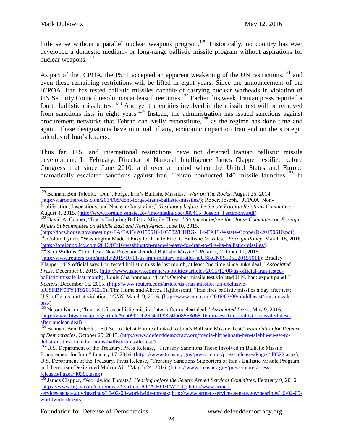little sense without a parallel nuclear weapons program.<sup>129</sup> Historically, no country has ever developed a domestic medium- or long-range ballistic missile program without aspirations for nuclear weapons.<sup>130</sup>

As part of the JCPOA, the P5+1 accepted an apparent weakening of the UN restrictions,  $^{131}$  and even these remaining restrictions will be lifted in eight years. Since the announcement of the JCPOA, Iran has tested ballistic missiles capable of carrying nuclear warheads in violation of UN Security Council resolutions at least three times.<sup>132</sup> Earlier this week, Iranian press reported a fourth ballistic missile test.<sup>133</sup> And yet the entities involved in the missile test will be removed from sanctions lists in eight years.<sup>134</sup> Instead, the administration has issued sanctions against procurement networks that Tehran can easily reconstitute,<sup>135</sup> as the regime has done time and again. These designations have minimal, if any, economic impact on Iran and on the strategic calculus of Iran's leaders.

Thus far, U.S. and international restrictions have not deterred Iranian ballistic missile development. In February, Director of National Intelligence James Clapper testified before Congress that since June 2010, and over a period when the United States and Europe dramatically escalated sanctions against Iran, Tehran conducted 140 missile launches.<sup>136</sup> In

August 4, 2015. [\(http://www.foreign.senate.gov/imo/media/doc/080415\\_Joseph\\_Testimony.pdf\)](http://www.foreign.senate.gov/imo/media/doc/080415_Joseph_Testimony.pdf) <sup>130</sup> David A. Cooper, "Iran's Enduring Ballistic Missile Threat," *Statement before the House Committee on Foreign Affairs Subcommittee on Middle East and North Africa,* June 10, 2015.

<sup>132</sup> Sam Wilkins, "Iran Tests New Precision-Guided Ballistic Missile," *Reuters*, October 11, 2015.

[\(http://www.reuters.com/article/2015/10/11/us-iran-military-missiles-idUSKCN0S505L20151011\)](http://www.reuters.com/article/2015/10/11/us-iran-military-missiles-idUSKCN0S505L20151011); Bradley Klapper, "US official says Iran tested ballistic missile last month, at least 2nd time since nuke deal," *Associated Press*, December 8, 2015. [\(http://www.usnews.com/news/politics/articles/2015/12/08/us-official-iran-tested](http://www.usnews.com/news/politics/articles/2015/12/08/us-official-iran-tested-ballistic-missile-last-month)[ballistic-missile-last-month\)](http://www.usnews.com/news/politics/articles/2015/12/08/us-official-iran-tested-ballistic-missile-last-month); Louis Charbonneau, "Iran's October missile test violated U.N. ban: expert panel,"

*Reuters*, December 16, 2015. [\(http://www.reuters.com/article/us-iran-missiles-un-exclusive-](http://www.reuters.com/article/us-iran-missiles-un-exclusive-idUSKBN0TY1T920151216)

 $\overline{a}$ <sup>129</sup> Behnam Ben Taleblu, "Don't Forget Iran's Ballistic Missiles," *War on The Rocks*, August 25, 2014. [\(http://warontherocks.com/2014/08/dont-forget-irans-ballistic-missiles/\)](http://warontherocks.com/2014/08/dont-forget-irans-ballistic-missiles/); Robert Joseph, "JCPOA: Non-Proliferation, Inspections, and Nuclear Constraints," *Testimony before the Senate Foreign Relations Committee*,

[<sup>\(</sup>http://docs.house.gov/meetings/FA/FA13/20150610/103582/HHRG-114-FA13-Wstate-CooperD-20150610.pdf\)](http://docs.house.gov/meetings/FA/FA13/20150610/103582/HHRG-114-FA13-Wstate-CooperD-20150610.pdf) <sup>131</sup> Colum Lynch, "Washington Made it Easy for Iran to Fire Its Ballistic Missiles," *Foreign Policy*, March 16, 2016. [\(http://foreignpolicy.com/2016/03/16/washington-made-it-easy-for-iran-to-fire-its-ballistic-missiles/\)](http://foreignpolicy.com/2016/03/16/washington-made-it-easy-for-iran-to-fire-its-ballistic-missiles/)

[idUSKBN0TY1T920151216\)](http://www.reuters.com/article/us-iran-missiles-un-exclusive-idUSKBN0TY1T920151216); Tim Hume and Alireza Hajihosseini, "Iran fires ballistic missiles a day after test; U.S. officials hint at violation," *CNN*, March 9, 2016. [\(http://www.cnn.com/2016/03/09/middleeast/iran-missile](http://www.cnn.com/2016/03/09/middleeast/iran-missile-test/)[test/\)](http://www.cnn.com/2016/03/09/middleeast/iran-missile-test/)

<sup>133</sup> Nasser Karimi, "Iran test-fires ballistic missile, latest after nuclear deal," *Associated Press*, May 9, 2016. [\(http://www.bigstory.ap.org/article/5cb0901c025a4cfb93c4fb08558d68c0/iran-test-fires-ballistic-missile-latest](http://www.bigstory.ap.org/article/5cb0901c025a4cfb93c4fb08558d68c0/iran-test-fires-ballistic-missile-latest-after-nuclear-deal)[after-nuclear-deal\)](http://www.bigstory.ap.org/article/5cb0901c025a4cfb93c4fb08558d68c0/iran-test-fires-ballistic-missile-latest-after-nuclear-deal)

<sup>134</sup> Behnam Ben Taleblu, "EU Set to Delist Entities Linked to Iran's Ballistic Missile Test," *Foundation for Defense of Democracies*, October 29, 2015. [\(http://www.defenddemocracy.org/media-hit/behnam-ben-taleblu-eu-set-to](http://www.defenddemocracy.org/media-hit/behnam-ben-taleblu-eu-set-to-delist-entities-linked-to-irans-ballistic-missile-test/)[delist-entities-linked-to-irans-ballistic-missile-test/\)](http://www.defenddemocracy.org/media-hit/behnam-ben-taleblu-eu-set-to-delist-entities-linked-to-irans-ballistic-missile-test/)

<sup>&</sup>lt;sup>135</sup> U.S. Department of the Treasury, Press Release, "Treasury Sanctions Those Involved in Ballistic Missile Procurement for Iran," January 17, 2016. [\(https://www.treasury.gov/press-center/press-releases/Pages/jl0322.aspx\)](https://www.treasury.gov/press-center/press-releases/Pages/jl0322.aspx);

U.S. Department of the Treasury, Press Release, "Treasury Sanctions Supporters of Iran's Ballistic Missile Program and Terrorism-Designated Mahan Air," March 24, 2016. [\(https://www.treasury.gov/press-center/press](https://www.treasury.gov/press-center/press-releases/Pages/jl0395.aspx)[releases/Pages/jl0395.aspx\)](https://www.treasury.gov/press-center/press-releases/Pages/jl0395.aspx)

<sup>136</sup> James Clapper, "Worldwide Threats," *Hearing before the Senate Armed Services Committee*, February 9, 2016. [\(https://www.bgov.com/core/news/#!/articles/O2AIHO3PWT1D;](https://www.bgov.com/core/news/#!/articles/O2AIHO3PWT1D) [http://www.armed](http://www.armed-services.senate.gov/hearings/16-02-09-worldwide-threats)[services.senate.gov/hearings/16-02-09-worldwide-threats; http://www.armed-services.senate.gov/hearings/16-02-09](http://www.armed-services.senate.gov/hearings/16-02-09-worldwide-threats) [worldwide-threats\)](http://www.armed-services.senate.gov/hearings/16-02-09-worldwide-threats)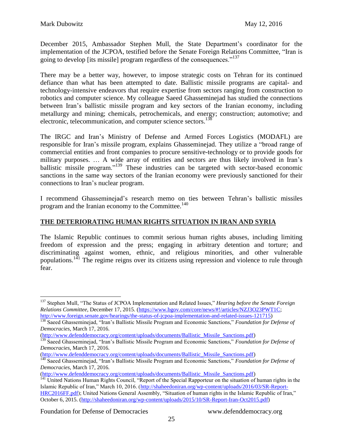December 2015, Ambassador Stephen Mull, the State Department's coordinator for the implementation of the JCPOA, testified before the Senate Foreign Relations Committee, "Iran is going to develop [its missile] program regardless of the consequences."<sup>137</sup>

There may be a better way, however, to impose strategic costs on Tehran for its continued defiance than what has been attempted to date. Ballistic missile programs are capital- and technology-intensive endeavors that require expertise from sectors ranging from construction to robotics and computer science. My colleague Saeed Ghasseminejad has studied the connections between Iran's ballistic missile program and key sectors of the Iranian economy, including metallurgy and mining; chemicals, petrochemicals, and energy; construction; automotive; and electronic, telecommunication, and computer science sectors.<sup>138</sup>

The IRGC and Iran's Ministry of Defense and Armed Forces Logistics (MODAFL) are responsible for Iran's missile program, explains Ghasseminejad. They utilize a "broad range of commercial entities and front companies to procure sensitive-technology or to provide goods for military purposes. … A wide array of entities and sectors are thus likely involved in Iran's ballistic missile program."<sup>139</sup> These industries can be targeted with sector-based economic sanctions in the same way sectors of the Iranian economy were previously sanctioned for their connections to Iran's nuclear program.

I recommend Ghasseminejad's research memo on ties between Tehran's ballistic missiles program and the Iranian economy to the Committee.<sup>140</sup>

# **THE DETERIORATING HUMAN RIGHTS SITUATION IN IRAN AND SYRIA**

The Islamic Republic continues to commit serious human rights abuses, including limiting freedom of expression and the press; engaging in arbitrary detention and torture; and discriminating against women, ethnic, and religious minorities, and other vulnerable populations.<sup>141</sup> The regime reigns over its citizens using repression and violence to rule through fear.

[\(http://www.defenddemocracy.org/content/uploads/documents/Ballistic\\_Missile\\_Sanctions.pdf\)](http://www.defenddemocracy.org/content/uploads/documents/Ballistic_Missile_Sanctions.pdf)

<sup>137</sup> Stephen Mull, "The Status of JCPOA Implementation and Related Issues," *Hearing before the Senate Foreign Relations Committee*, December 17, 2015. [\(https://www.bgov.com/core/news/#!/articles/NZJ3O23PWT1C;](https://www.bgov.com/core/news/#!/articles/NZJ3O23PWT1C) [http://www.foreign.senate.gov/hearings/the-status-of-jcpoa-implementation-and-related-issues-121715\)](http://www.foreign.senate.gov/hearings/the-status-of-jcpoa-implementation-and-related-issues-121715)

<sup>&</sup>lt;sup>138</sup> Saeed Ghasseminejad, "Iran's Ballistic Missile Program and Economic Sanctions," *Foundation for Defense of Democracies*, March 17, 2016.

[<sup>\(</sup>http://www.defenddemocracy.org/content/uploads/documents/Ballistic\\_Missile\\_Sanctions.pdf\)](http://www.defenddemocracy.org/content/uploads/documents/Ballistic_Missile_Sanctions.pdf)

<sup>&</sup>lt;sup>139</sup> Saeed Ghasseminejad, "Iran's Ballistic Missile Program and Economic Sanctions," *Foundation for Defense of Democracies*, March 17, 2016.

[<sup>\(</sup>http://www.defenddemocracy.org/content/uploads/documents/Ballistic\\_Missile\\_Sanctions.pdf\)](http://www.defenddemocracy.org/content/uploads/documents/Ballistic_Missile_Sanctions.pdf)

<sup>140</sup> Saeed Ghasseminejad, "Iran's Ballistic Missile Program and Economic Sanctions," *Foundation for Defense of Democracies*, March 17, 2016.

<sup>&</sup>lt;sup>141</sup> United Nations Human Rights Council, "Report of the Special Rapporteur on the situation of human rights in the Islamic Republic of Iran," March 10, 2016. [\(http://shaheedoniran.org/wp-content/uploads/2016/03/SR-Report-](http://shaheedoniran.org/wp-content/uploads/2016/03/SR-Report-HRC2016FF.pdf)[HRC2016FF.pdf\)](http://shaheedoniran.org/wp-content/uploads/2016/03/SR-Report-HRC2016FF.pdf); United Nations General Assembly, "Situation of human rights in the Islamic Republic of Iran," October 6, 2015. [\(http://shaheedoniran.org/wp-content/uploads/2015/10/SR-Report-Iran-Oct2015.pdf\)](http://shaheedoniran.org/wp-content/uploads/2015/10/SR-Report-Iran-Oct2015.pdf)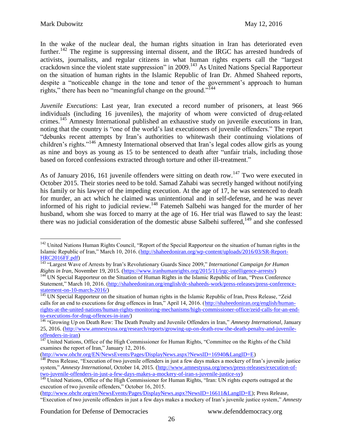In the wake of the nuclear deal, the human rights situation in Iran has deteriorated even further.<sup>142</sup> The regime is suppressing internal dissent, and the IRGC has arrested hundreds of activists, journalists, and regular citizens in what human rights experts call the "largest crackdown since the violent state suppression" in 2009.<sup>143</sup> As United Nations Special Rapporteur on the situation of human rights in the Islamic Republic of Iran Dr. Ahmed Shaheed reports, despite a "noticeable change in the tone and tenor of the government's approach to human rights," there has been no "meaningful change on the ground."<sup>144</sup>

*Juvenile Executions*: Last year, Iran executed a record number of prisoners, at least 966 individuals (including 16 juveniles), the majority of whom were convicted of drug-related crimes.<sup>145</sup> Amnesty International published an exhaustive study on juvenile executions in Iran, noting that the country is "one of the world's last executioners of juvenile offenders." The report "debunks recent attempts by Iran's authorities to whitewash their continuing violations of children's rights."<sup>146</sup> Amnesty International observed that Iran's legal codes allow girls as young as nine and boys as young as 15 to be sentenced to death after "unfair trials, including those based on forced confessions extracted through torture and other ill-treatment."

As of January 2016, 161 juvenile offenders were sitting on death row.<sup>147</sup> Two were executed in October 2015. Their stories need to be told. Samad Zahabi was secretly hanged without notifying his family or his lawyer of the impeding execution. At the age of 17, he was sentenced to death for murder, an act which he claimed was unintentional and in self-defense, and he was never informed of his right to judicial review.<sup>148</sup> Fatemeh Salbehi was hanged for the murder of her husband, whom she was forced to marry at the age of 16. Her trial was flawed to say the least: there was no judicial consideration of the domestic abuse Salbehi suffered,<sup>149</sup> and she confessed

[\(http://www.ohchr.org/EN/NewsEvents/Pages/DisplayNews.aspx?NewsID=16940&LangID=E\)](http://www.ohchr.org/EN/NewsEvents/Pages/DisplayNews.aspx?NewsID=16940&LangID=E)

<sup>&</sup>lt;sup>142</sup> United Nations Human Rights Council, "Report of the Special Rapporteur on the situation of human rights in the Islamic Republic of Iran," March 10, 2016. [\(http://shaheedoniran.org/wp-content/uploads/2016/03/SR-Report-](http://shaheedoniran.org/wp-content/uploads/2016/03/SR-Report-HRC2016FF.pdf)[HRC2016FF.pdf\)](http://shaheedoniran.org/wp-content/uploads/2016/03/SR-Report-HRC2016FF.pdf)

<sup>143</sup> "Largest Wave of Arrests by Iran's Revolutionary Guards Since 2009," *International Campaign for Human Rights in Iran*, November 19, 2015. [\(https://www.iranhumanrights.org/2015/11/irgc-intelligence-arrests/\)](https://www.iranhumanrights.org/2015/11/irgc-intelligence-arrests/)

<sup>&</sup>lt;sup>144</sup> UN Special Rapporteur on the Situation of Human Rights in the Islamic Republic of Iran, "Press Conference" Statement," March 10, 2016. [\(http://shaheedoniran.org/english/dr-shaheeds-work/press-releases/press-conference](http://shaheedoniran.org/english/dr-shaheeds-work/press-releases/press-conference-statement-on-10-march-2016/)[statement-on-10-march-2016/\)](http://shaheedoniran.org/english/dr-shaheeds-work/press-releases/press-conference-statement-on-10-march-2016/)

<sup>&</sup>lt;sup>145</sup> UN Special Rapporteur on the situation of human rights in the Islamic Republic of Iran, Press Release, "Zeid calls for an end to executions for drug offences in Iran," April 14, 2016. [\(http://shaheedoniran.org/english/human](http://shaheedoniran.org/english/human-rights-at-the-united-nations/human-rights-monitoring-mechanisms/high-commissioner-office/zeid-calls-for-an-end-to-executions-for-drug-offences-in-iran/)[rights-at-the-united-nations/human-rights-monitoring-mechanisms/high-commissioner-office/zeid-calls-for-an-end](http://shaheedoniran.org/english/human-rights-at-the-united-nations/human-rights-monitoring-mechanisms/high-commissioner-office/zeid-calls-for-an-end-to-executions-for-drug-offences-in-iran/)[to-executions-for-drug-offences-in-iran/\)](http://shaheedoniran.org/english/human-rights-at-the-united-nations/human-rights-monitoring-mechanisms/high-commissioner-office/zeid-calls-for-an-end-to-executions-for-drug-offences-in-iran/)

<sup>146</sup> "Growing Up on Death Row: The Death Penalty and Juvenile Offenders in Iran," *Amnesty International*, January 25, 2016. [\(http://www.amnestyusa.org/research/reports/growing-up-on-death-row-the-death-penalty-and-juvenile](http://www.amnestyusa.org/research/reports/growing-up-on-death-row-the-death-penalty-and-juvenile-offenders-in-iran)[offenders-in-iran\)](http://www.amnestyusa.org/research/reports/growing-up-on-death-row-the-death-penalty-and-juvenile-offenders-in-iran)

<sup>&</sup>lt;sup>147</sup> United Nations, Office of the High Commissioner for Human Rights, "Committee on the Rights of the Child examines the report of Iran," January 12, 2016.

<sup>&</sup>lt;sup>148</sup> Press Release, "Execution of two juvenile offenders in just a few days makes a mockery of Iran's juvenile justice system," *Amnesty International*, October 14, 2015. [\(http://www.amnestyusa.org/news/press-releases/execution-of](http://www.amnestyusa.org/news/press-releases/execution-of-two-juvenile-offenders-in-just-a-few-days-makes-a-mockery-of-iran-s-juvenile-justice-sy)[two-juvenile-offenders-in-just-a-few-days-makes-a-mockery-of-iran-s-juvenile-justice-sy\)](http://www.amnestyusa.org/news/press-releases/execution-of-two-juvenile-offenders-in-just-a-few-days-makes-a-mockery-of-iran-s-juvenile-justice-sy)

<sup>&</sup>lt;sup>149</sup> United Nations, Office of the High Commissioner for Human Rights, "Iran: UN rights experts outraged at the execution of two juvenile offenders," October 16, 2015.

[<sup>\(</sup>http://www.ohchr.org/en/NewsEvents/Pages/DisplayNews.aspx?NewsID=16611&LangID=E\)](http://www.ohchr.org/en/NewsEvents/Pages/DisplayNews.aspx?NewsID=16611&LangID=E); Press Release, "Execution of two juvenile offenders in just a few days makes a mockery of Iran's juvenile justice system," *Amnesty*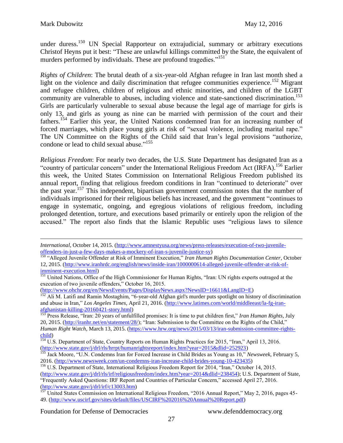under duress.<sup>150</sup> UN Special Rapporteur on extrajudicial, summary or arbitrary executions Christof Heyns put it best: "These are unlawful killings committed by the State, the equivalent of murders performed by individuals. These are profound tragedies."<sup>151</sup>

*Rights of Children*: The brutal death of a six-year-old Afghan refugee in Iran last month shed a light on the violence and daily discrimination that refugee communities experience.<sup>152</sup> Migrant and refugee children, children of religious and ethnic minorities, and children of the LGBT community are vulnerable to abuses, including violence and state-sanctioned discrimination.<sup>153</sup> Girls are particularly vulnerable to sexual abuse because the legal age of marriage for girls is only 13, and girls as young as nine can be married with permission of the court and their fathers.<sup>154</sup> Earlier this year, the United Nations condemned Iran for an increasing number of forced marriages, which place young girls at risk of "sexual violence, including marital rape." The UN Committee on the Rights of the Child said that Iran's legal provisions "authorize, condone or lead to child sexual abuse."<sup>155</sup>

*Religious Freedom*: For nearly two decades, the U.S. State Department has designated Iran as a "country of particular concern" under the International Religious Freedom Act (IRFA).<sup>156</sup> Earlier this week, the United States Commission on International Religious Freedom published its annual report, finding that religious freedom conditions in Iran "continued to deteriorate" over the past year.<sup>157</sup> This independent, bipartisan government commission notes that the number of individuals imprisoned for their religious beliefs has increased, and the government "continues to engage in systematic, ongoing, and egregious violations of religious freedom, including prolonged detention, torture, and executions based primarily or entirely upon the religion of the accused." The report also finds that the Islamic Republic uses "religious laws to silence

[\(http://www.ohchr.org/en/NewsEvents/Pages/DisplayNews.aspx?NewsID=16611&LangID=E\)](http://www.ohchr.org/en/NewsEvents/Pages/DisplayNews.aspx?NewsID=16611&LangID=E)

<sup>152</sup> Ali M. Latifi and Ramin Mostaghim, "6-year-old Afghan girl's murder puts spotlight on history of discrimination and abuse in Iran," *Los Angeles Times*, April 21, 2016. [\(http://www.latimes.com/world/middleeast/la-fg-iran](http://www.latimes.com/world/middleeast/la-fg-iran-afghanistan-killing-20160421-story.html)[afghanistan-killing-20160421-story.html\)](http://www.latimes.com/world/middleeast/la-fg-iran-afghanistan-killing-20160421-story.html)

<sup>153</sup> Press Release, "Iran: 20 years of unfulfilled promises: It is time to put children first," *Iran Human Rights*, July 20, 2015. [\(http://iranhr.net/en/statement/28/\)](http://iranhr.net/en/statement/28/); "Iran: Submission to the Committee on the Rights of the Child," *Human Right Watch*, March 13, 2015. [\(https://www.hrw.org/news/2015/03/13/iran-submission-committee-rights](https://www.hrw.org/news/2015/03/13/iran-submission-committee-rights-child)[child\)](https://www.hrw.org/news/2015/03/13/iran-submission-committee-rights-child)

 $\frac{154 \text{ U.S.}}{154 \text{ U.S.}}$  Department of State, Country Reports on Human Rights Practices for 2015, "Iran," April 13, 2016. [\(http://www.state.gov/j/drl/rls/hrrpt/humanrightsreport/index.htm?year=2015&dlid=252923\)](http://www.state.gov/j/drl/rls/hrrpt/humanrightsreport/index.htm?year=2015&dlid=252923)

<sup>155</sup> Jack Moore, "U.N. Condemns Iran for Forced Increase in Child Brides as Young as 10," *Newsweek*, February 5, 2016. [\(http://www.newsweek.com/un-condemns-iran-increase-child-brides-young-10-423435\)](http://www.newsweek.com/un-condemns-iran-increase-child-brides-young-10-423435)

*International*, October 14, 2015. [\(http://www.amnestyusa.org/news/press-releases/execution-of-two-juvenile](http://www.amnestyusa.org/news/press-releases/execution-of-two-juvenile-offenders-in-just-a-few-days-makes-a-mockery-of-iran-s-juvenile-justice-sy)[offenders-in-just-a-few-days-makes-a-mockery-of-iran-s-juvenile-justice-sy\)](http://www.amnestyusa.org/news/press-releases/execution-of-two-juvenile-offenders-in-just-a-few-days-makes-a-mockery-of-iran-s-juvenile-justice-sy)

<sup>150</sup> "Alleged Juvenile Offender at Risk of Imminent Execution," *Iran Human Rights Documentation Center*, October 12, 2015. [\(http://www.iranhrdc.org/english/news/inside-iran/1000000614-alleged-juvenile-offender-at-risk-of](http://www.iranhrdc.org/english/news/inside-iran/1000000614-alleged-juvenile-offender-at-risk-of-imminent-execution.html)[imminent-execution.html\)](http://www.iranhrdc.org/english/news/inside-iran/1000000614-alleged-juvenile-offender-at-risk-of-imminent-execution.html)

<sup>&</sup>lt;sup>151</sup> United Nations, Office of the High Commissioner for Human Rights, "Iran: UN rights experts outraged at the execution of two juvenile offenders," October 16, 2015.

<sup>&</sup>lt;sup>156</sup> U.S. Department of State, International Religious Freedom Report for 2014, "Iran," October 14, 2015.

[<sup>\(</sup>http://www.state.gov/j/drl/rls/irf/religiousfreedom/index.htm?year=2014&dlid=238454\)](http://www.state.gov/j/drl/rls/irf/religiousfreedom/index.htm?year=2014&dlid=238454); U.S. Department of State, "Frequently Asked Questions: IRF Report and Countries of Particular Concern," accessed April 27, 2016. [\(http://www.state.gov/j/drl/irf/c13003.htm\)](http://www.state.gov/j/drl/irf/c13003.htm)

<sup>&</sup>lt;sup>157</sup> United States Commission on International Religious Freedom, "2016 Annual Report," May 2, 2016, pages 45-49. [\(http://www.uscirf.gov/sites/default/files/USCIRF%202016%20Annual%20Report.pdf\)](http://www.uscirf.gov/sites/default/files/USCIRF%202016%20Annual%20Report.pdf)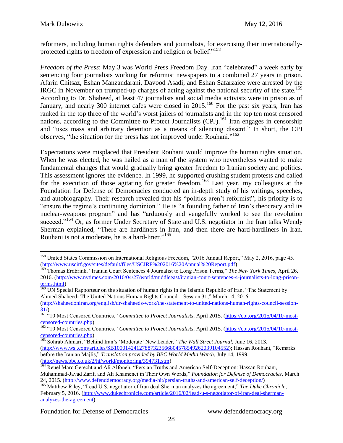reformers, including human rights defenders and journalists, for exercising their internationallyprotected rights to freedom of expression and religion or belief."<sup>158</sup>

*Freedom of the Press*: May 3 was World Press Freedom Day. Iran "celebrated" a week early by sentencing four journalists working for reformist newspapers to a combined 27 years in prison. Afarin Chitsaz, Eshan Manzandarani, Davood Asadi, and Eshan Safarzaiee were arrested by the IRGC in November on trumped-up charges of acting against the national security of the state.<sup>159</sup> According to Dr. Shaheed, at least 47 journalists and social media activists were in prison as of January, and nearly 300 internet cafes were closed in 2015.<sup>160</sup> For the past six years, Iran has ranked in the top three of the world's worst jailers of journalists and in the top ten most censored nations, according to the Committee to Protect Journalists (CPJ).<sup>161</sup> Iran engages in censorship and "uses mass and arbitrary detention as a means of silencing dissent." In short, the CPJ observes, "the situation for the press has not improved under Rouhani."<sup>162</sup>

Expectations were misplaced that President Rouhani would improve the human rights situation. When he was elected, he was hailed as a man of the system who nevertheless wanted to make fundamental changes that would gradually bring greater freedom to Iranian society and politics. This assessment ignores the evidence. In 1999, he supported crushing student protests and called for the execution of those agitating for greater freedom.<sup>163</sup> Last year, my colleagues at the Foundation for Defense of Democracies conducted an in-depth study of his writings, speeches, and autobiography. Their research revealed that his "politics aren't reformist"; his priority is to "ensure the regime's continuing dominion." He is "a founding father of Iran's theocracy and its nuclear-weapons program" and has "arduously and vengefully worked to see the revolution succeed."<sup>164</sup> Or, as former Under Secretary of State and U.S. negotiator in the Iran talks Wendy Sherman explained, "There are hardliners in Iran, and then there are hard-hardliners in Iran. Rouhani is not a moderate, he is a hard-liner."<sup>165</sup>

<sup>160</sup> UN Special Rapporteur on the situation of human rights in the Islamic Republic of Iran, "The Statement by Ahmed Shaheed- The United Nations Human Rights Council – Session 31," March 14, 2016.

<sup>164</sup> Reuel Marc Gerecht and Ali Alfoneh, "Persian Truths and American Self-Deception: Hassan Rouhani,

 $\overline{a}$ <sup>158</sup> United States Commission on International Religious Freedom, "2016 Annual Report," May 2, 2016, page 45. [\(http://www.uscirf.gov/sites/default/files/USCIRF%202016%20Annual%20Report.pdf\)](http://www.uscirf.gov/sites/default/files/USCIRF%202016%20Annual%20Report.pdf)

<sup>159</sup> Thomas Erdbrink, "Iranian Court Sentences 4 Journalist to Long Prison Terms," *The New York Times*, April 26, 2016. [\(http://www.nytimes.com/2016/04/27/world/middleeast/iranian-court-sentences-4-journalists-to-long-prison](http://www.nytimes.com/2016/04/27/world/middleeast/iranian-court-sentences-4-journalists-to-long-prison-terms.html)[terms.html\)](http://www.nytimes.com/2016/04/27/world/middleeast/iranian-court-sentences-4-journalists-to-long-prison-terms.html)

[<sup>\(</sup>http://shaheedoniran.org/english/dr-shaheeds-work/the-statement-to-united-nations-human-rights-council-session-](http://shaheedoniran.org/english/dr-shaheeds-work/the-statement-to-united-nations-human-rights-council-session-31/) $31/$ 

<sup>161</sup> "10 Most Censored Countries," *Committee to Protect Journalists*, April 2015. [\(https://cpj.org/2015/04/10-most](https://cpj.org/2015/04/10-most-censored-countries.php)[censored-countries.php\)](https://cpj.org/2015/04/10-most-censored-countries.php) ensored-countries.php)<br>
<sup>162</sup> "10 Most Censored Countries," *Committee to Protect Journalists*, April 2015. [\(https://cpj.org/2015/04/10-most-](https://cpj.org/2015/04/10-most-censored-countries.php)

[censored-countries.php\)](https://cpj.org/2015/04/10-most-censored-countries.php)

<sup>163</sup> Sohrab Ahmari, "Behind Iran's 'Moderate' New Leader," *The Wall Street Journal*, June 16, 2013. [\(http://www.wsj.com/articles/SB10001424127887323566804578549262039104552\)](http://www.wsj.com/articles/SB10001424127887323566804578549262039104552); Hassan Rouhani, "Remarks before the Iranian Majlis," *Translation provided by BBC World Media Watch*, July 14, 1999. [\(http://news.bbc.co.uk/2/hi/world/monitoring/394731.stm\)](http://news.bbc.co.uk/2/hi/world/monitoring/394731.stm)

Muhammad-Javad Zarif, and Ali Khamenei in Their Own Words," *Foundation for Defense of Democracies*, March 24, 2015. [\(http://www.defenddemocracy.org/media-hit/persian-truths-and-american-self-deception/\)](http://www.defenddemocracy.org/media-hit/persian-truths-and-american-self-deception/)

<sup>165</sup> Matthew Riley, "Lead U.S. negotiator of Iran deal Sherman analyzes the agreement," *The Duke Chronicle*, February 5, 2016. [\(http://www.dukechronicle.com/article/2016/02/lead-u-s-negotiator-of-iran-deal-sherman](http://www.dukechronicle.com/article/2016/02/lead-u-s-negotiator-of-iran-deal-sherman-analyzes-the-agreement)[analyzes-the-agreement\)](http://www.dukechronicle.com/article/2016/02/lead-u-s-negotiator-of-iran-deal-sherman-analyzes-the-agreement)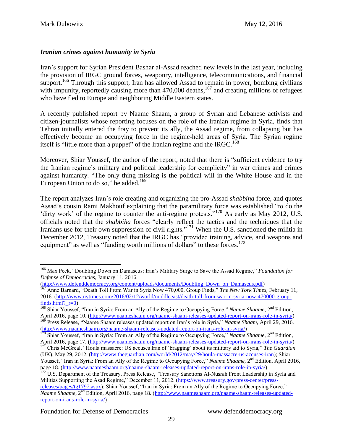# *Iranian crimes against humanity in Syria*

Iran's support for Syrian President Bashar al-Assad reached new levels in the last year, including the provision of IRGC ground forces, weaponry, intelligence, telecommunications, and financial support.<sup>166</sup> Through this support, Iran has allowed Assad to remain in power, bombing civilians with impunity, reportedly causing more than  $470,000$  deaths,<sup>167</sup> and creating millions of refugees who have fled to Europe and neighboring Middle Eastern states.

A recently published report by Naame Shaam, a group of Syrian and Lebanese activists and citizen-journalists whose reporting focuses on the role of the Iranian regime in Syria, finds that Tehran initially entered the fray to prevent its ally, the Assad regime, from collapsing but has effectively become an occupying force in the regime-held areas of Syria. The Syrian regime itself is "little more than a puppet" of the Iranian regime and the IRGC.<sup>168</sup>

Moreover, Shiar Youssef, the author of the report, noted that there is "sufficient evidence to try the Iranian regime's military and political leadership for complicity" in war crimes and crimes against humanity. "The only thing missing is the political will in the White House and in the European Union to do so," he added. $169$ 

The report analyzes Iran's role creating and organizing the pro-Assad *shabbiha* force, and quotes Assad's cousin Rami Makhouf explaining that the paramilitary force was established "to do the 'dirty work' of the regime to counter the anti-regime protests."<sup>170</sup> As early as May 2012, U.S. officials noted that the *shabbiha* forces "clearly reflect the tactics and the techniques that the Iranians use for their own suppression of civil rights."<sup>171</sup> When the U.S. sanctioned the militia in December 2012, Treasury noted that the IRGC has "provided training, advice, and weapons and equipment" as well as "funding worth millions of dollars" to these forces. $172$ 

<sup>169</sup> Press Release, "Naame Shaam releases updated report on Iran's role in Syria," *Naame Shaam*, April 29, 2016. [\(http://www.naameshaam.org/naame-shaam-releases-updated-report-on-irans-role-in-syria/\)](http://www.naameshaam.org/naame-shaam-releases-updated-report-on-irans-role-in-syria/)

<sup>166</sup> Max Peck, "Doubling Down on Damascus: Iran's Military Surge to Save the Assad Regime," *Foundation for Defense of Democracies*, January 11, 2016.

[<sup>\(</sup>http://www.defenddemocracy.org/content/uploads/documents/Doubling\\_Down\\_on\\_Damascus.pdf\)](http://www.defenddemocracy.org/content/uploads/documents/Doubling_Down_on_Damascus.pdf)<br><sup>167</sup> Anne Barnard "Danth Tall Frant West"

<sup>167</sup> Anne Barnard, "Death Toll From War in Syria Now 470,000, Group Finds," *The New York Times*, February 11, 2016. [\(http://www.nytimes.com/2016/02/12/world/middleeast/death-toll-from-war-in-syria-now-470000-group](http://www.nytimes.com/2016/02/12/world/middleeast/death-toll-from-war-in-syria-now-470000-group-finds.html?_r=0)finds.html?  $r=0$ )

<sup>&</sup>lt;sup>168</sup> Shiar Youssef, "Iran in Syria: From an Ally of the Regime to Occupying Force," *Naame Shaame*, 2<sup>nd</sup> Edition, April 2016, page 10. [\(http://www.naameshaam.org/naame-shaam-releases-updated-report-on-irans-role-in-syria/\)](http://www.naameshaam.org/naame-shaam-releases-updated-report-on-irans-role-in-syria/)

<sup>&</sup>lt;sup>170</sup> Shiar Youssef, "Iran in Syria: From an Ally of the Regime to Occupying Force," *Naame Shaame*, 2<sup>nd</sup> Edition, April 2016, page 17. [\(http://www.naameshaam.org/naame-shaam-releases-updated-report-on-irans-role-in-syria/\)](http://www.naameshaam.org/naame-shaam-releases-updated-report-on-irans-role-in-syria/)

<sup>171</sup> Chris McGreal, "Houla massacre: US accuses Iran of 'bragging' about its military aid to Syria," *The Guardian* (UK), May 29, 2012. [\(http://www.theguardian.com/world/2012/may/29/houla-massacre-us-accuses-iran\)](http://www.theguardian.com/world/2012/may/29/houla-massacre-us-accuses-iran); Shiar Youssef, "Iran in Syria: From an Ally of the Regime to Occupying Force," *Naame Shaame*, 2<sup>nd</sup> Edition, April 2016,

page 18. [\(http://www.naameshaam.org/naame-shaam-releases-updated-report-on-irans-role-in-syria/\)](http://www.naameshaam.org/naame-shaam-releases-updated-report-on-irans-role-in-syria/)

U.S. Department of the Treasury, Press Release, "Treasury Sanctions Al-Nusrah Front Leadership in Syria and Militias Supporting the Asad Regime," December 11, 2012. [\(https://www.treasury.gov/press-center/press](https://www.treasury.gov/press-center/press-releases/pages/tg1797.aspx)[releases/pages/tg1797.aspx\)](https://www.treasury.gov/press-center/press-releases/pages/tg1797.aspx); Shiar Youssef, "Iran in Syria: From an Ally of the Regime to Occupying Force," *Naame Shaame*, 2nd Edition, April 2016, page 18. [\(http://www.naameshaam.org/naame-shaam-releases-updated](http://www.naameshaam.org/naame-shaam-releases-updated-report-on-irans-role-in-syria/)[report-on-irans-role-in-syria/\)](http://www.naameshaam.org/naame-shaam-releases-updated-report-on-irans-role-in-syria/)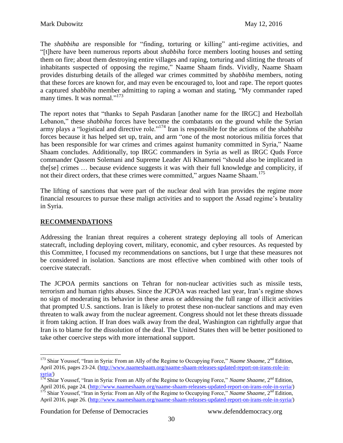The *shabbiha* are responsible for "finding, torturing or killing" anti-regime activities, and "[t]here have been numerous reports about *shabbiha* force members looting houses and setting them on fire; about them destroying entire villages and raping, torturing and slitting the throats of inhabitants suspected of opposing the regime," Naame Shaam finds. Vividly, Naame Shaam provides disturbing details of the alleged war crimes committed by *shabbiha* members, noting that these forces are known for, and may even be encouraged to, loot and rape. The report quotes a captured *shabbiha* member admitting to raping a woman and stating, "My commander raped many times. It was normal."<sup>173</sup>

The report notes that "thanks to Sepah Pasdaran [another name for the IRGC] and Hezbollah Lebanon," these *shabbiha* forces have become the combatants on the ground while the Syrian army plays a "logistical and directive role."<sup>174</sup> Iran is responsible for the actions of the *shabbiha* forces because it has helped set up, train, and arm "one of the most notorious militia forces that has been responsible for war crimes and crimes against humanity committed in Syria," Naame Shaam concludes. Additionally, top IRGC commanders in Syria as well as IRGC Quds Force commander Qassem Solemani and Supreme Leader Ali Khamenei "should also be implicated in the[se] crimes … because evidence suggests it was with their full knowledge and complicity, if not their direct orders, that these crimes were committed," argues Naame Shaam.<sup>175</sup>

The lifting of sanctions that were part of the nuclear deal with Iran provides the regime more financial resources to pursue these malign activities and to support the Assad regime's brutality in Syria.

# **RECOMMENDATIONS**

Addressing the Iranian threat requires a coherent strategy deploying all tools of American statecraft, including deploying covert, military, economic, and cyber resources. As requested by this Committee, I focused my recommendations on sanctions, but I urge that these measures not be considered in isolation. Sanctions are most effective when combined with other tools of coercive statecraft.

The JCPOA permits sanctions on Tehran for non-nuclear activities such as missile tests, terrorism and human rights abuses. Since the JCPOA was reached last year, Iran's regime shows no sign of moderating its behavior in these areas or addressing the full range of illicit activities that prompted U.S. sanctions. Iran is likely to protest these non-nuclear sanctions and may even threaten to walk away from the nuclear agreement. Congress should not let these threats dissuade it from taking action. If Iran does walk away from the deal, Washington can rightfully argue that Iran is to blame for the dissolution of the deal. The United States then will be better positioned to take other coercive steps with more international support.

 $\overline{a}$ <sup>173</sup> Shiar Youssef, "Iran in Syria: From an Ally of the Regime to Occupying Force," *Naame Shaame*, 2<sup>nd</sup> Edition, April 2016, pages 23-24. [\(http://www.naameshaam.org/naame-shaam-releases-updated-report-on-irans-role-in](http://www.naameshaam.org/naame-shaam-releases-updated-report-on-irans-role-in-syria/)[syria/\)](http://www.naameshaam.org/naame-shaam-releases-updated-report-on-irans-role-in-syria/)

<sup>&</sup>lt;sup>174</sup> Shiar Youssef, "Iran in Syria: From an Ally of the Regime to Occupying Force," *Naame Shaame*, 2<sup>nd</sup> Edition, April 2016, page 24. [\(http://www.naameshaam.org/naame-shaam-releases-updated-report-on-irans-role-in-syria/\)](http://www.naameshaam.org/naame-shaam-releases-updated-report-on-irans-role-in-syria/)

<sup>&</sup>lt;sup>175</sup> Shiar Youssef, "Iran in Syria: From an Ally of the Regime to Occupying Force," *Naame Shaame*, 2<sup>nd</sup> Edition, April 2016, page 26. [\(http://www.naameshaam.org/naame-shaam-releases-updated-report-on-irans-role-in-syria/\)](http://www.naameshaam.org/naame-shaam-releases-updated-report-on-irans-role-in-syria/)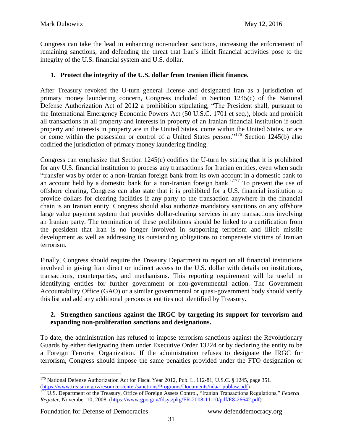Congress can take the lead in enhancing non-nuclear sanctions, increasing the enforcement of remaining sanctions, and defending the threat that Iran's illicit financial activities pose to the integrity of the U.S. financial system and U.S. dollar.

### **1. Protect the integrity of the U.S. dollar from Iranian illicit finance.**

After Treasury revoked the U-turn general license and designated Iran as a jurisdiction of primary money laundering concern, Congress included in Section 1245(c) of the National Defense Authorization Act of 2012 a prohibition stipulating, "The President shall, pursuant to the International Emergency Economic Powers Act (50 U.S.C. 1701 et seq.), block and prohibit all transactions in all property and interests in property of an Iranian financial institution if such property and interests in property are in the United States, come within the United States, or are or come within the possession or control of a United States person."<sup>176</sup> Section 1245(b) also codified the jurisdiction of primary money laundering finding.

Congress can emphasize that Section 1245(c) codifies the U-turn by stating that it is prohibited for any U.S. financial institution to process any transactions for Iranian entities, even when such "transfer was by order of a non-Iranian foreign bank from its own account in a domestic bank to an account held by a domestic bank for a non-Iranian foreign bank."<sup>177</sup> To prevent the use of offshore clearing, Congress can also state that it is prohibited for a U.S. financial institution to provide dollars for clearing facilities if any party to the transaction anywhere in the financial chain is an Iranian entity. Congress should also authorize mandatory sanctions on any offshore large value payment system that provides dollar-clearing services in any transactions involving an Iranian party. The termination of these prohibitions should be linked to a certification from the president that Iran is no longer involved in supporting terrorism and illicit missile development as well as addressing its outstanding obligations to compensate victims of Iranian terrorism.

Finally, Congress should require the Treasury Department to report on all financial institutions involved in giving Iran direct or indirect access to the U.S. dollar with details on institutions, transactions, counterparties, and mechanisms. This reporting requirement will be useful in identifying entities for further government or non-governmental action. The Government Accountability Office (GAO) or a similar governmental or quasi-government body should verify this list and add any additional persons or entities not identified by Treasury.

#### **2. Strengthen sanctions against the IRGC by targeting its support for terrorism and expanding non-proliferation sanctions and designations.**

To date, the administration has refused to impose terrorism sanctions against the Revolutionary Guards by either designating them under Executive Order 13224 or by declaring the entity to be a Foreign Terrorist Organization. If the administration refuses to designate the IRGC for terrorism, Congress should impose the same penalties provided under the FTO designation or

Foundation for Defense of Democracies www.defenddemocracy.org

<sup>&</sup>lt;sup>176</sup> National Defense Authorization Act for Fiscal Year 2012, Pub. L. 112-81, U.S.C. § 1245, page 351. [\(https://www.treasury.gov/resource-center/sanctions/Programs/Documents/ndaa\\_publaw.pdf\)](https://www.treasury.gov/resource-center/sanctions/Programs/Documents/ndaa_publaw.pdf)

<sup>177</sup> U.S. Department of the Treasury, Office of Foreign Assets Control, "Iranian Transactions Regulations," *Federal Register*, November 10, 2008. [\(https://www.gpo.gov/fdsys/pkg/FR-2008-11-10/pdf/E8-26642.pdf\)](https://www.gpo.gov/fdsys/pkg/FR-2008-11-10/pdf/E8-26642.pdf)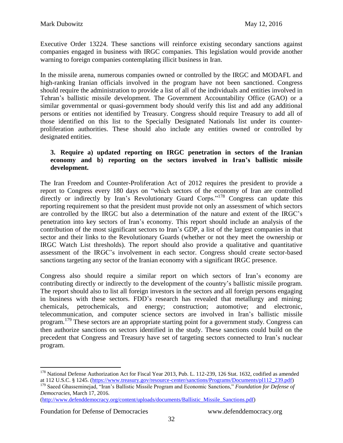Executive Order 13224. These sanctions will reinforce existing secondary sanctions against companies engaged in business with IRGC companies. This legislation would provide another warning to foreign companies contemplating illicit business in Iran.

In the missile arena, numerous companies owned or controlled by the IRGC and MODAFL and high-ranking Iranian officials involved in the program have not been sanctioned. Congress should require the administration to provide a list of all of the individuals and entities involved in Tehran's ballistic missile development. The Government Accountability Office (GAO) or a similar governmental or quasi-government body should verify this list and add any additional persons or entities not identified by Treasury. Congress should require Treasury to add all of those identified on this list to the Specially Designated Nationals list under its counterproliferation authorities. These should also include any entities owned or controlled by designated entities.

#### **3. Require a) updated reporting on IRGC penetration in sectors of the Iranian economy and b) reporting on the sectors involved in Iran's ballistic missile development.**

The Iran Freedom and Counter-Proliferation Act of 2012 requires the president to provide a report to Congress every 180 days on "which sectors of the economy of Iran are controlled directly or indirectly by Iran's Revolutionary Guard Corps."<sup>178</sup> Congress can update this reporting requirement so that the president must provide not only an assessment of which sectors are controlled by the IRGC but also a determination of the nature and extent of the IRGC's penetration into key sectors of Iran's economy. This report should include an analysis of the contribution of the most significant sectors to Iran's GDP, a list of the largest companies in that sector and their links to the Revolutionary Guards (whether or not they meet the ownership or IRGC Watch List thresholds). The report should also provide a qualitative and quantitative assessment of the IRGC's involvement in each sector. Congress should create sector-based sanctions targeting any sector of the Iranian economy with a significant IRGC presence.

Congress also should require a similar report on which sectors of Iran's economy are contributing directly or indirectly to the development of the country's ballistic missile program. The report should also to list all foreign investors in the sectors and all foreign persons engaging in business with these sectors. FDD's research has revealed that metallurgy and mining; chemicals, petrochemicals, and energy; construction; automotive; and electronic, telecommunication, and computer science sectors are involved in Iran's ballistic missile program.<sup>179</sup> These sectors are an appropriate starting point for a government study. Congress can then authorize sanctions on sectors identified in the study. These sanctions could build on the precedent that Congress and Treasury have set of targeting sectors connected to Iran's nuclear program.

[\(http://www.defenddemocracy.org/content/uploads/documents/Ballistic\\_Missile\\_Sanctions.pdf\)](http://www.defenddemocracy.org/content/uploads/documents/Ballistic_Missile_Sanctions.pdf)

Foundation for Defense of Democracies www.defenddemocracy.org

<sup>&</sup>lt;sup>178</sup> National Defense Authorization Act for Fiscal Year 2013, Pub. L. 112-239, 126 Stat. 1632, codified as amended at 112 U.S.C. § 1245. [\(https://www.treasury.gov/resource-center/sanctions/Programs/Documents/pl112\\_239.pdf\)](https://www.treasury.gov/resource-center/sanctions/Programs/Documents/pl112_239.pdf)

<sup>179</sup> Saeed Ghasseminejad, "Iran's Ballistic Missile Program and Economic Sanctions," *Foundation for Defense of Democracies*, March 17, 2016.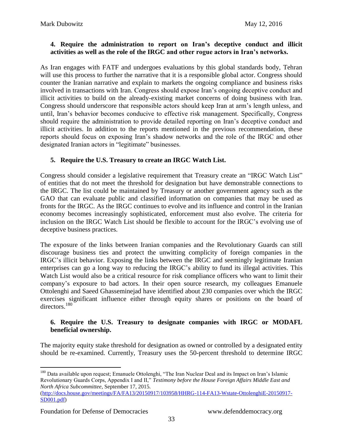#### **4. Require the administration to report on Iran's deceptive conduct and illicit activities as well as the role of the IRGC and other rogue actors in Iran's networks.**

As Iran engages with FATF and undergoes evaluations by this global standards body, Tehran will use this process to further the narrative that it is a responsible global actor. Congress should counter the Iranian narrative and explain to markets the ongoing compliance and business risks involved in transactions with Iran. Congress should expose Iran's ongoing deceptive conduct and illicit activities to build on the already-existing market concerns of doing business with Iran. Congress should underscore that responsible actors should keep Iran at arm's length unless, and until, Iran's behavior becomes conducive to effective risk management. Specifically, Congress should require the administration to provide detailed reporting on Iran's deceptive conduct and illicit activities. In addition to the reports mentioned in the previous recommendation, these reports should focus on exposing Iran's shadow networks and the role of the IRGC and other designated Iranian actors in "legitimate" businesses.

#### **5. Require the U.S. Treasury to create an IRGC Watch List.**

Congress should consider a legislative requirement that Treasury create an "IRGC Watch List" of entities that do not meet the threshold for designation but have demonstrable connections to the IRGC. The list could be maintained by Treasury or another government agency such as the GAO that can evaluate public and classified information on companies that may be used as fronts for the IRGC. As the IRGC continues to evolve and its influence and control in the Iranian economy becomes increasingly sophisticated, enforcement must also evolve. The criteria for inclusion on the IRGC Watch List should be flexible to account for the IRGC's evolving use of deceptive business practices.

The exposure of the links between Iranian companies and the Revolutionary Guards can still discourage business ties and protect the unwitting complicity of foreign companies in the IRGC's illicit behavior. Exposing the links between the IRGC and seemingly legitimate Iranian enterprises can go a long way to reducing the IRGC's ability to fund its illegal activities. This Watch List would also be a critical resource for risk compliance officers who want to limit their company's exposure to bad actors. In their open source research, my colleagues Emanuele Ottolenghi and Saeed Ghasseminejad have identified about 230 companies over which the IRGC exercises significant influence either through equity shares or positions on the board of directors.<sup>180</sup>

#### **6. Require the U.S. Treasury to designate companies with IRGC or MODAFL beneficial ownership.**

The majority equity stake threshold for designation as owned or controlled by a designated entity should be re-examined. Currently, Treasury uses the 50-percent threshold to determine IRGC

```
(http://docs.house.gov/meetings/FA/FA13/20150917/103958/HHRG-114-FA13-Wstate-OttolenghiE-20150917-
SD001.pdf)
```
<sup>&</sup>lt;sup>180</sup> Data available upon request; Emanuele Ottolenghi, "The Iran Nuclear Deal and its Impact on Iran's Islamic Revolutionary Guards Corps, Appendix I and II," *Testimony before the House Foreign Affairs Middle East and North Africa Subcommittee*, September 17, 2015.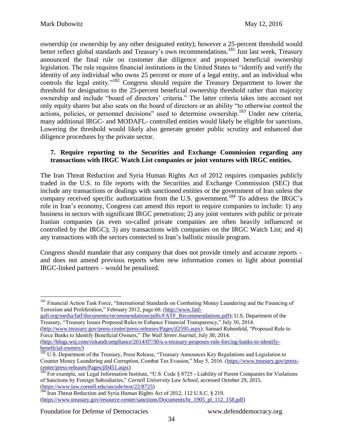ownership (or ownership by any other designated entity); however a 25-percent threshold would better reflect global standards and Treasury's own recommendations.<sup>181</sup> Just last week, Treasury announced the final rule on customer due diligence and proposed beneficial ownership legislation. The rule requires financial institutions in the United States to "identify and verify the identity of any individual who owns 25 percent or more of a legal entity, and an individual who controls the legal entity."<sup>182</sup> Congress should require the Treasury Department to lower the threshold for designation to the 25-percent beneficial ownership threshold rather than majority ownership and include "board of directors' criteria." The latter criteria takes into account not only equity shares but also seats on the board of directors or an ability "to otherwise control the actions, policies, or personnel decisions" used to determine ownership.<sup>183</sup> Under new criteria, many additional IRGC- and MODAFL- controlled entities would likely be eligible for sanctions. Lowering the threshold would likely also generate greater public scrutiny and enhanced due diligence procedures by the private sector.

#### **7. Require reporting to the Securities and Exchange Commission regarding any transactions with IRGC Watch List companies or joint ventures with IRGC entities.**

The Iran Threat Reduction and Syria Human Rights Act of 2012 requires companies publicly traded in the U.S. to file reports with the Securities and Exchange Commission (SEC) that include any transactions or dealings with sanctioned entities or the government of Iran unless the company received specific authorization from the U.S. government.<sup>184</sup> To address the IRGC's role in Iran's economy, Congress can amend this report to require companies to include: 1) any business in sectors with significant IRGC penetration; 2) any joint ventures with public or private Iranian companies (as even so-called private companies are often heavily influenced or controlled by the IRGC); 3) any transactions with companies on the IRGC Watch List; and 4) any transactions with the sectors connected to Iran's ballistic missile program.

Congress should mandate that any company that does not provide timely and accurate reports – and does not amend previous reports when new information comes to light about potential IRGC-linked partners – would be penalized.

[gafi.org/media/fatf/documents/recommendations/pdfs/FATF\\_Recommendations.pdf\)](http://www.fatf-gafi.org/media/fatf/documents/recommendations/pdfs/FATF_Recommendations.pdf); U.S. Department of the Treasury, "Treasury Issues Proposed Rules to Enhance Financial Transparency," July 30, 2014.

 $\overline{a}$ <sup>181</sup> Financial Action Task Force, "International Standards on Combating Money Laundering and the Financing of Terrorism and Proliferation," February 2012, page 60. [\(http://www.fatf-](http://www.fatf-gafi.org/media/fatf/documents/recommendations/pdfs/FATF_Recommendations.pdf)

[<sup>\(</sup>http://www.treasury.gov/press-center/press-releases/Pages/jl2595.aspx\)](http://www.treasury.gov/press-center/press-releases/Pages/jl2595.aspx); Samuel Rubenfeld, "Proposed Rule to Force Banks to Identify Beneficial Owners," *The Wall Street Journal*, July 30, 2014.

[<sup>\(</sup>http://blogs.wsj.com/riskandcompliance/2014/07/30/u-s-treasury-proposes-rule-forcing-banks-to-identify](http://blogs.wsj.com/riskandcompliance/2014/07/30/u-s-treasury-proposes-rule-forcing-banks-to-identify-beneficial-owners/)[beneficial-owners/\)](http://blogs.wsj.com/riskandcompliance/2014/07/30/u-s-treasury-proposes-rule-forcing-banks-to-identify-beneficial-owners/)

<sup>&</sup>lt;sup>182</sup> U.S. Department of the Treasury, Press Release, "Treasury Announces Key Regulations and Legislation to Counter Money Laundering and Corruption, Combat Tax Evasion," May 5, 2016. [\(https://www.treasury.gov/press](https://www.treasury.gov/press-center/press-releases/Pages/jl0451.aspx)[center/press-releases/Pages/jl0451.aspx\)](https://www.treasury.gov/press-center/press-releases/Pages/jl0451.aspx)

<sup>&</sup>lt;sup>183</sup> For example, see Legal Information Institute, "U.S. Code § 8725 - Liability of Parent Companies for Violations of Sanctions by Foreign Subsidiaries," *Cornell University Law School*, accessed October 29, 2015. [\(https://www.law.cornell.edu/uscode/text/22/8725\)](https://www.law.cornell.edu/uscode/text/22/8725)

<sup>&</sup>lt;sup>184</sup> Iran Threat Reduction and Syria Human Rights Act of 2012, 112 U.S.C. § 219. [\(https://www.treasury.gov/resource-center/sanctions/Documents/hr\\_1905\\_pl\\_112\\_158.pdf\)](https://www.treasury.gov/resource-center/sanctions/Documents/hr_1905_pl_112_158.pdf)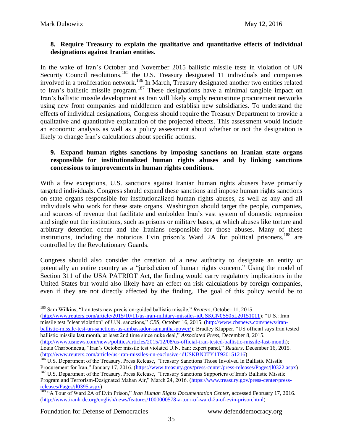#### **8. Require Treasury to explain the qualitative and quantitative effects of individual designations against Iranian entities.**

In the wake of Iran's October and November 2015 ballistic missile tests in violation of UN Security Council resolutions, <sup>185</sup> the U.S. Treasury designated 11 individuals and companies involved in a proliferation network.<sup>186</sup> In March, Treasury designated another two entities related to Iran's ballistic missile program.<sup>187</sup> These designations have a minimal tangible impact on Iran's ballistic missile development as Iran will likely simply reconstitute procurement networks using new front companies and middlemen and establish new subsidiaries. To understand the effects of individual designations, Congress should require the Treasury Department to provide a qualitative and quantitative explanation of the projected effects. This assessment would include an economic analysis as well as a policy assessment about whether or not the designation is likely to change Iran's calculations about specific actions.

#### **9. Expand human rights sanctions by imposing sanctions on Iranian state organs responsible for institutionalized human rights abuses and by linking sanctions concessions to improvements in human rights conditions.**

With a few exceptions, U.S. sanctions against Iranian human rights abusers have primarily targeted individuals. Congress should expand these sanctions and impose human rights sanctions on state organs responsible for institutionalized human rights abuses, as well as any and all individuals who work for these state organs. Washington should target the people, companies, and sources of revenue that facilitate and embolden Iran's vast system of domestic repression and single out the institutions, such as prisons or military bases, at which abuses like torture and arbitrary detention occur and the Iranians responsible for those abuses. Many of these institutions, including the notorious Evin prison's Ward 2A for political prisoners, <sup>188</sup> are controlled by the Revolutionary Guards.

Congress should also consider the creation of a new authority to designate an entity or potentially an entire country as a "jurisdiction of human rights concern." Using the model of Section 311 of the USA PATRIOT Act, the finding would carry regulatory implications in the United States but would also likely have an effect on risk calculations by foreign companies, even if they are not directly affected by the finding. The goal of this policy would be to

 $\overline{a}$ <sup>185</sup> Sam Wilkins, "Iran tests new precision-guided ballistic missile," *Reuters*, October 11, 2015. [\(http://www.reuters.com/article/2015/10/11/us-iran-military-missiles-idUSKCN0S505L20151011\)](http://www.reuters.com/article/2015/10/11/us-iran-military-missiles-idUSKCN0S505L20151011); "U.S.: Iran missile test "clear violation" of U.N. sanctions," *CBS*, October 16, 2015. [\(http://www.cbsnews.com/news/iran](http://www.cbsnews.com/news/iran-ballistic-missile-test-un-sanctions-us-ambassador-samantha-power/)[ballistic-missile-test-un-sanctions-us-ambassador-samantha-power/\)](http://www.cbsnews.com/news/iran-ballistic-missile-test-un-sanctions-us-ambassador-samantha-power/); Bradley Klapper, "US official says Iran tested ballistic missile last month, at least 2nd time since nuke deal," *Associated Press*, December 8, 2015. [\(http://www.usnews.com/news/politics/articles/2015/12/08/us-official-iran-tested-ballistic-missile-last-month\)](http://www.usnews.com/news/politics/articles/2015/12/08/us-official-iran-tested-ballistic-missile-last-month); Louis Charbonneau, "Iran's October missile test violated U.N. ban: expert panel," *Reuters*, December 16, 2015. [\(http://www.reuters.com/article/us-iran-missiles-un-exclusive-idUSKBN0TY1T920151216\)](http://www.reuters.com/article/us-iran-missiles-un-exclusive-idUSKBN0TY1T920151216)

<sup>&</sup>lt;sup>186</sup> U.S. Department of the Treasury, Press Release, "Treasury Sanctions Those Involved in Ballistic Missile Procurement for Iran," January 17, 2016. [\(https://www.treasury.gov/press-center/press-releases/Pages/jl0322.aspx\)](https://www.treasury.gov/press-center/press-releases/Pages/jl0322.aspx)

<sup>&</sup>lt;sup>187</sup> U.S. Department of the Treasury, Press Release, "Treasury Sanctions Supporters of Iran's Ballistic Missile Program and Terrorism-Designated Mahan Air," March 24, 2016. [\(https://www.treasury.gov/press-center/press](https://www.treasury.gov/press-center/press-releases/Pages/jl0395.aspx)[releases/Pages/jl0395.aspx\)](https://www.treasury.gov/press-center/press-releases/Pages/jl0395.aspx)

<sup>188</sup> "A Tour of Ward 2A of Evin Prison," *Iran Human Rights Documentation Center*, accessed February 17, 2016. [\(http://www.iranhrdc.org/english/news/features/1000000578-a-tour-of-ward-2a-of-evin-prison.html\)](http://www.iranhrdc.org/english/news/features/1000000578-a-tour-of-ward-2a-of-evin-prison.html)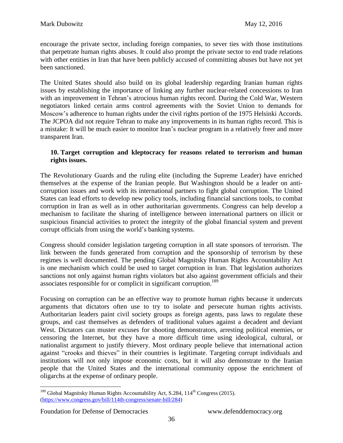encourage the private sector, including foreign companies, to sever ties with those institutions that perpetrate human rights abuses. It could also prompt the private sector to end trade relations with other entities in Iran that have been publicly accused of committing abuses but have not yet been sanctioned.

The United States should also build on its global leadership regarding Iranian human rights issues by establishing the importance of linking any further nuclear-related concessions to Iran with an improvement in Tehran's atrocious human rights record. During the Cold War, Western negotiators linked certain arms control agreements with the Soviet Union to demands for Moscow's adherence to human rights under the civil rights portion of the 1975 Helsinki Accords. The JCPOA did not require Tehran to make any improvements in its human rights record. This is a mistake: It will be much easier to monitor Iran's nuclear program in a relatively freer and more transparent Iran.

#### **10. Target corruption and kleptocracy for reasons related to terrorism and human rights issues.**

The Revolutionary Guards and the ruling elite (including the Supreme Leader) have enriched themselves at the expense of the Iranian people. But Washington should be a leader on anticorruption issues and work with its international partners to fight global corruption. The United States can lead efforts to develop new policy tools, including financial sanctions tools, to combat corruption in Iran as well as in other authoritarian governments. Congress can help develop a mechanism to facilitate the sharing of intelligence between international partners on illicit or suspicious financial activities to protect the integrity of the global financial system and prevent corrupt officials from using the world's banking systems.

Congress should consider legislation targeting corruption in all state sponsors of terrorism. The link between the funds generated from corruption and the sponsorship of terrorism by these regimes is well documented. The pending Global Magnitsky Human Rights Accountability Act is one mechanism which could be used to target corruption in Iran. That legislation authorizes sanctions not only against human rights violators but also against government officials and their associates responsible for or complicit in significant corruption.<sup>189</sup>

Focusing on corruption can be an effective way to promote human rights because it undercuts arguments that dictators often use to try to isolate and persecute human rights activists. Authoritarian leaders paint civil society groups as foreign agents, pass laws to regulate these groups, and cast themselves as defenders of traditional values against a decadent and deviant West. Dictators can muster excuses for shooting demonstrators, arresting political enemies, or censoring the Internet, but they have a more difficult time using ideological, cultural, or nationalist argument to justify thievery. Most ordinary people believe that international action against "crooks and thieves" in their countries is legitimate. Targeting corrupt individuals and institutions will not only impose economic costs, but it will also demonstrate to the Iranian people that the United States and the international community oppose the enrichment of oligarchs at the expense of ordinary people.

 $189$  Global Magnitsky Human Rights Accountability Act, S.284,  $114<sup>th</sup>$  Congress (2015). [\(https://www.congress.gov/bill/114th-congress/senate-bill/284\)](https://www.congress.gov/bill/114th-congress/senate-bill/284)